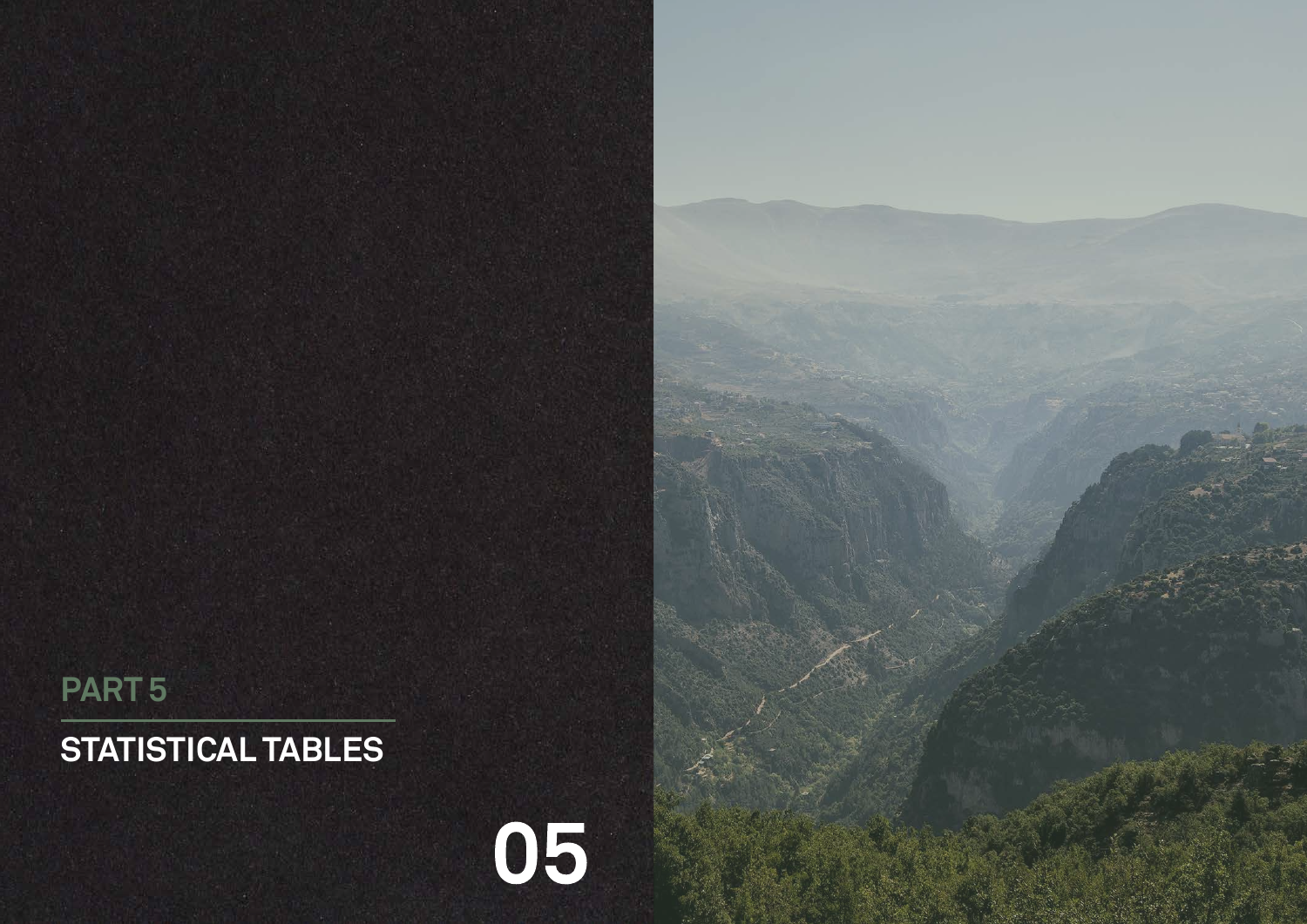# **STATISTICAL TABLES**





# **PART 5**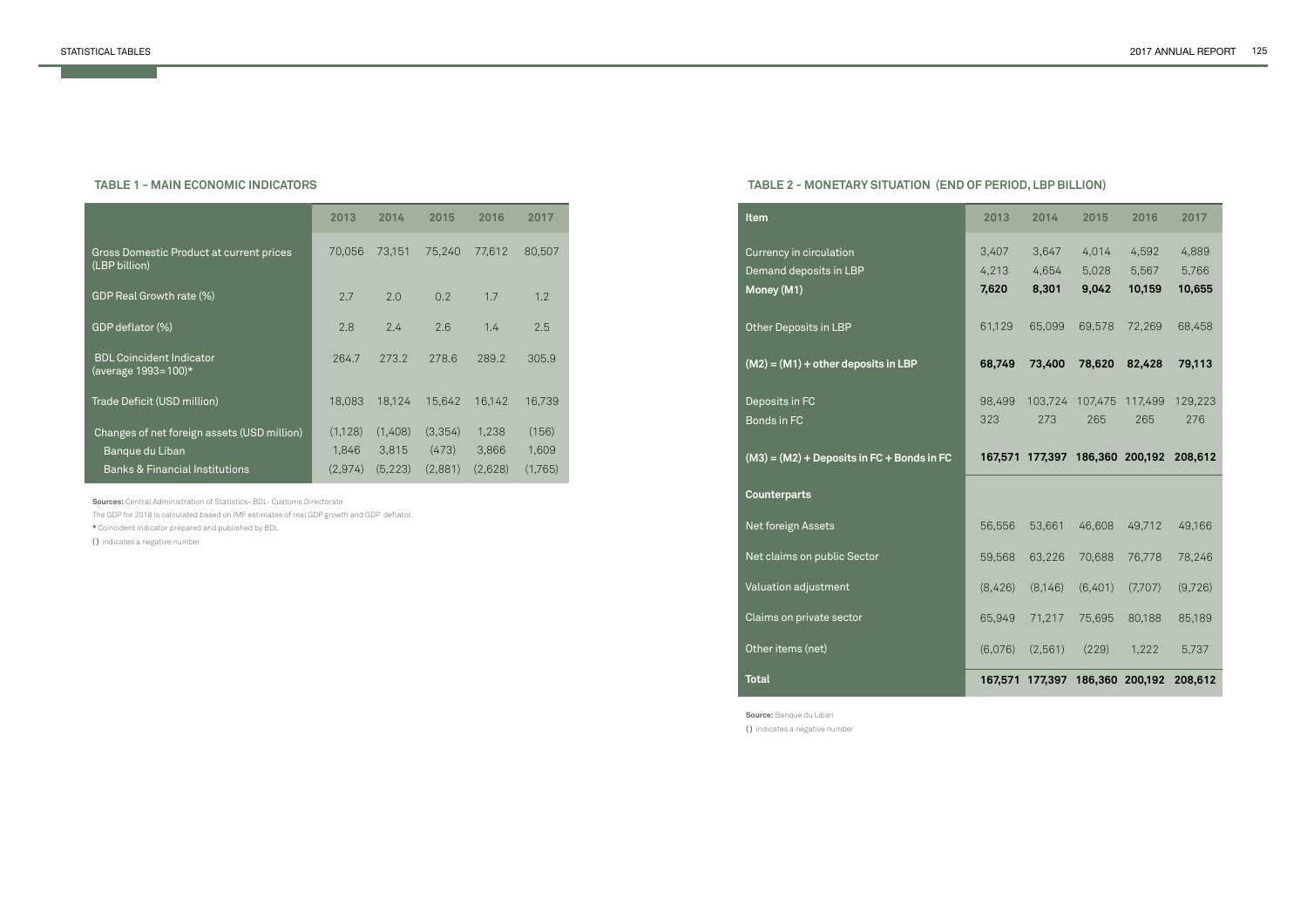#### **TABLE 1 - MAIN ECONOMIC INDICATORS**

|                                                           | 2013    | 2014     | 2015          | 2016    | 2017    |
|-----------------------------------------------------------|---------|----------|---------------|---------|---------|
| Gross Domestic Product at current prices<br>(LBP billion) | 70,056  | 73,151   | 75,240        | 77.612  | 80,507  |
| GDP Real Growth rate (%)                                  | 2.7     | 2.0      | $0.2^{\circ}$ | 1.7     | 1.2     |
| GDP deflator (%)                                          | 2.8     | 2.4      | 2.6           | 1.4     | 2.5     |
| <b>BDL Coincident Indicator</b><br>(average 1993=100)*    | 264.7   | 273.2    | 278.6         | 289.2   | 305.9   |
| Trade Deficit (USD million)                               | 18,083  | 18,124   | 15,642        | 16,142  | 16,739  |
| Changes of net foreign assets (USD million)               | (1,128) | (1,408)  | (3,354)       | 1,238   | (156)   |
| Banque du Liban                                           | 1,846   | 3,815    | (473)         | 3,866   | 1,609   |
| <b>Banks &amp; Financial Institutions</b>                 | (2,974) | (5, 223) | (2,881)       | (2,628) | (1,765) |

**Sources:** Central Administration of Statistics- BDL- Customs Directorate

The GDP for 2018 is calculated based on IMF estimates of real GDP growth and GDP deflator.

**\*** Coincident indicator prepared and published by BDL

**( )** indicates a negative number

# **TABLE 2 - MONETARY SITUATION (END OF PERIOD, LBP BILLION)**

**Source:** Banque du Liban **( )** indicates a negative number

| Item                                                            | 2013                    | 2014                    | 2015                                    | 2016                     | 2017                     |
|-----------------------------------------------------------------|-------------------------|-------------------------|-----------------------------------------|--------------------------|--------------------------|
| Currency in circulation<br>Demand deposits in LBP<br>Money (M1) | 3,407<br>4,213<br>7,620 | 3,647<br>4,654<br>8,301 | 4,014<br>5,028<br>9,042                 | 4,592<br>5,567<br>10,159 | 4,889<br>5,766<br>10,655 |
| Other Deposits in LBP                                           | 61,129                  | 65,099                  | 69,578                                  | 72,269                   | 68,458                   |
| $(M2) = (M1) + other deposits in LBP$                           | 68,749                  | 73,400                  | 78,620                                  | 82,428                   | 79,113                   |
| Deposits in FC<br>Bonds in FC                                   | 98,499<br>323           | 103,724<br>273          | 107,475 117,499<br>265                  | 265                      | 129,223<br>276           |
|                                                                 |                         |                         |                                         |                          |                          |
| $(M3) = (M2) + Deposits in FC + Bonds in FC$                    |                         |                         | 167,571 177,397 186,360 200,192 208,612 |                          |                          |
| <b>Counterparts</b>                                             |                         |                         |                                         |                          |                          |
| Net foreign Assets                                              | 56,556                  | 53,661                  | 46,608                                  | 49,712                   | 49,166                   |
| Net claims on public Sector                                     | 59,568                  | 63,226                  | 70,688                                  | 76,778                   | 78,246                   |
| Valuation adjustment                                            | (8,426)                 | (8,146)                 | (6,401)                                 | (7,707)                  | (9,726)                  |
| Claims on private sector                                        | 65,949                  | 71,217                  | 75,695                                  | 80,188                   | 85,189                   |
| Other items (net)                                               | (6,076)                 | (2,561)                 | (229)                                   | 1,222                    | 5,737                    |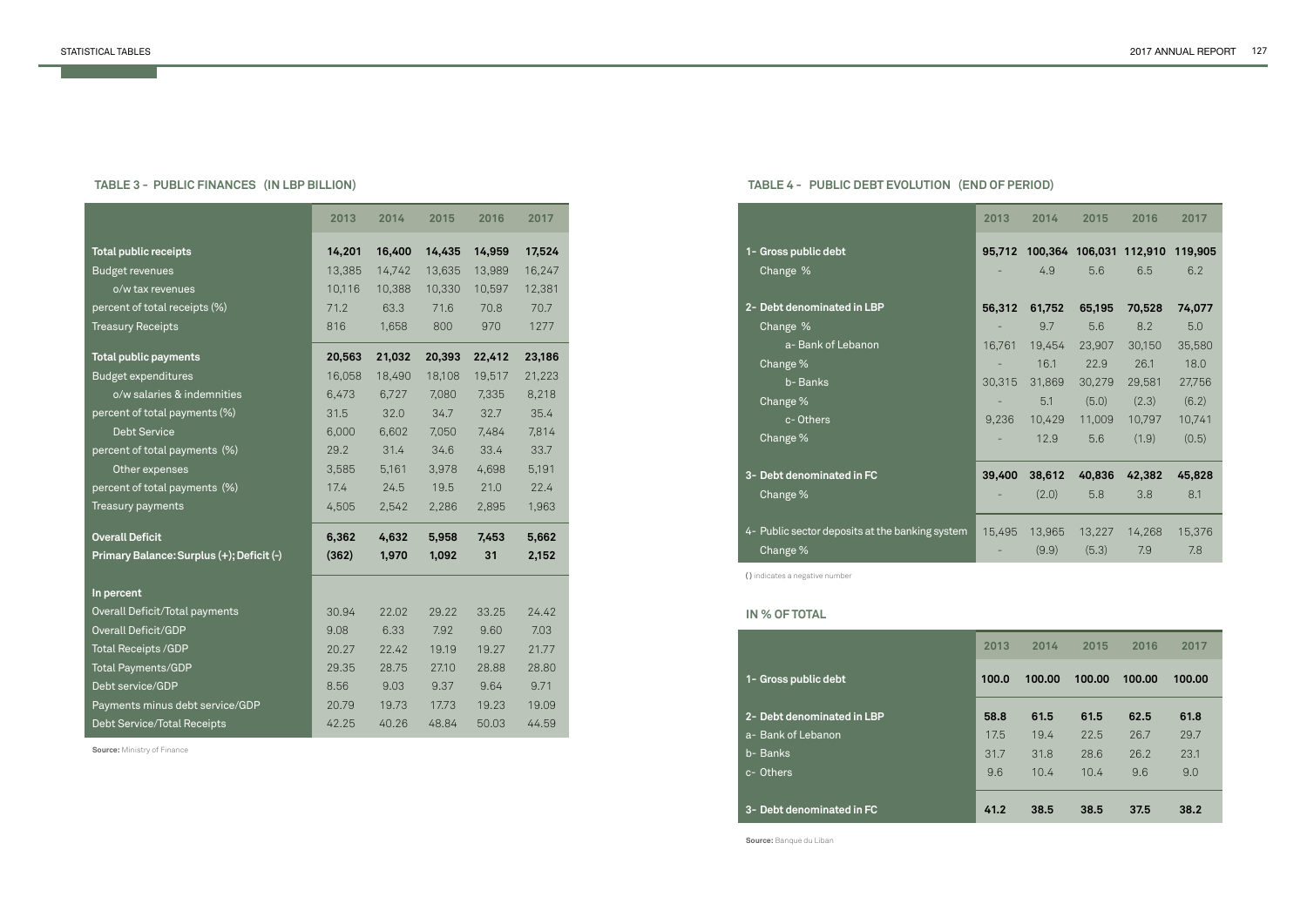# **TABLE 3 - PUBLIC FINANCES (IN LBP BILLION)**

**Source:** Ministry of Finance

|                                           | 2013   | 2014   | 2015   | 2016   | 2017   |
|-------------------------------------------|--------|--------|--------|--------|--------|
| <b>Total public receipts</b>              | 14,201 | 16,400 | 14,435 | 14,959 | 17,524 |
| <b>Budget revenues</b>                    | 13,385 | 14,742 | 13,635 | 13,989 | 16,247 |
| o/w tax revenues                          | 10,116 | 10,388 | 10,330 | 10,597 | 12,381 |
| percent of total receipts (%)             | 71.2   | 63.3   | 71.6   | 70.8   | 70.7   |
| <b>Treasury Receipts</b>                  | 816    | 1,658  | 800    | 970    | 1277   |
| <b>Total public payments</b>              | 20,563 | 21,032 | 20,393 | 22,412 | 23,186 |
| <b>Budget expenditures</b>                | 16,058 | 18,490 | 18,108 | 19,517 | 21,223 |
| o/w salaries & indemnities                | 6,473  | 6,727  | 7,080  | 7,335  | 8,218  |
| percent of total payments (%)             | 31.5   | 32.0   | 34.7   | 32.7   | 35.4   |
| <b>Debt Service</b>                       | 6,000  | 6,602  | 7,050  | 7,484  | 7,814  |
| percent of total payments (%)             | 29.2   | 31.4   | 34.6   | 33.4   | 33.7   |
| Other expenses                            | 3,585  | 5,161  | 3,978  | 4,698  | 5,191  |
| percent of total payments (%)             | 17.4   | 24.5   | 19.5   | 21.0   | 22.4   |
| Treasury payments                         | 4,505  | 2,542  | 2,286  | 2,895  | 1,963  |
| <b>Overall Deficit</b>                    | 6,362  | 4,632  | 5,958  | 7,453  | 5,662  |
| Primary Balance: Surplus (+); Deficit (-) | (362)  | 1,970  | 1,092  | 31     | 2,152  |
| In percent                                |        |        |        |        |        |
| Overall Deficit/Total payments            | 30.94  | 22.02  | 29.22  | 33.25  | 24.42  |
| <b>Overall Deficit/GDP</b>                | 9.08   | 6.33   | 7.92   | 9.60   | 7.03   |
| Total Receipts / GDP                      | 20.27  | 22.42  | 19.19  | 19.27  | 21.77  |
| <b>Total Payments/GDP</b>                 | 29.35  | 28.75  | 27.10  | 28.88  | 28.80  |
| Debt service/GDP                          | 8.56   | 9.03   | 9.37   | 9.64   | 9.71   |
| Payments minus debt service/GDP           | 20.79  | 19.73  | 17.73  | 19.23  | 19.09  |
| Debt Service/Total Receipts               | 42.25  | 40.26  | 48.84  | 50.03  | 44.59  |

**2-** Debt den a- Bank of L b- Banks c- Others

| plic debt       |                          |
|-----------------|--------------------------|
| ominated in LBP |                          |
| ebanon          |                          |
|                 | $\overline{\phantom{a}}$ |
|                 |                          |
|                 |                          |
|                 |                          |

# **TABLE 4 - PUBLIC DEBT EVOLUTION (END OF PERIOD)**

#### **IN % OF TOTAL**

**1- Gross pull** 

**Source:** Banque du Liban

|                                                             | 2013   | 2014                  | 2015                  | 2016                           | 2017                  |
|-------------------------------------------------------------|--------|-----------------------|-----------------------|--------------------------------|-----------------------|
| 1- Gross public debt<br>Change %                            | 95,712 | 4.9                   | 5.6                   | 100,364 106,031 112,910<br>6.5 | 119,905<br>6.2        |
| 2- Debt denominated in LBP                                  | 56,312 | 61,752                | 65,195                | 70,528                         | 74,077                |
| Change %<br>a- Bank of Lebanon<br>Change %                  | 16,761 | 9.7<br>19,454<br>16.1 | 5.6<br>23,907<br>22.9 | 8.2<br>30,150<br>26.1          | 5.0<br>35,580<br>18.0 |
| b-Banks<br>Change %                                         | 30,315 | 31,869<br>5.1         | 30,279<br>(5.0)       | 29,581<br>(2.3)                | 27,756<br>(6.2)       |
| c-Others<br>Change %                                        | 9,236  | 10,429<br>12.9        | 11,009<br>5.6         | 10,797<br>(1.9)                | 10,741<br>(0.5)       |
| 3- Debt denominated in FC                                   | 39,400 | 38,612                | 40,836                | 42,382                         | 45,828                |
| Change %                                                    |        | (2.0)                 | 5.8                   | 3.8                            | 8.1                   |
| 4- Public sector deposits at the banking system<br>Change % | 15,495 | 13,965<br>(9.9)       | 13,227<br>(5.3)       | 14,268<br>7.9                  | 15,376<br>7.8         |
|                                                             |        |                       |                       |                                |                       |

#### **3- Debt denominated in FC**

| 2013  | 2014   | 2015   | 2016   | 2017   |
|-------|--------|--------|--------|--------|
| 100.0 | 100.00 | 100.00 | 100.00 | 100.00 |
| 58.8  | 61.5   | 61.5   | 62.5   | 61.8   |
| 17.5  | 19.4   | 22.5   | 26.7   | 29.7   |
| 31.7  | 31.8   | 28.6   | 26.2   | 23.1   |
| 9.6   | 10.4   | 10.4   | 9.6    | 9.0    |
| 41.2  | 38.5   | 38.5   | 37.5   | 38.2   |

**( )** indicates a negative number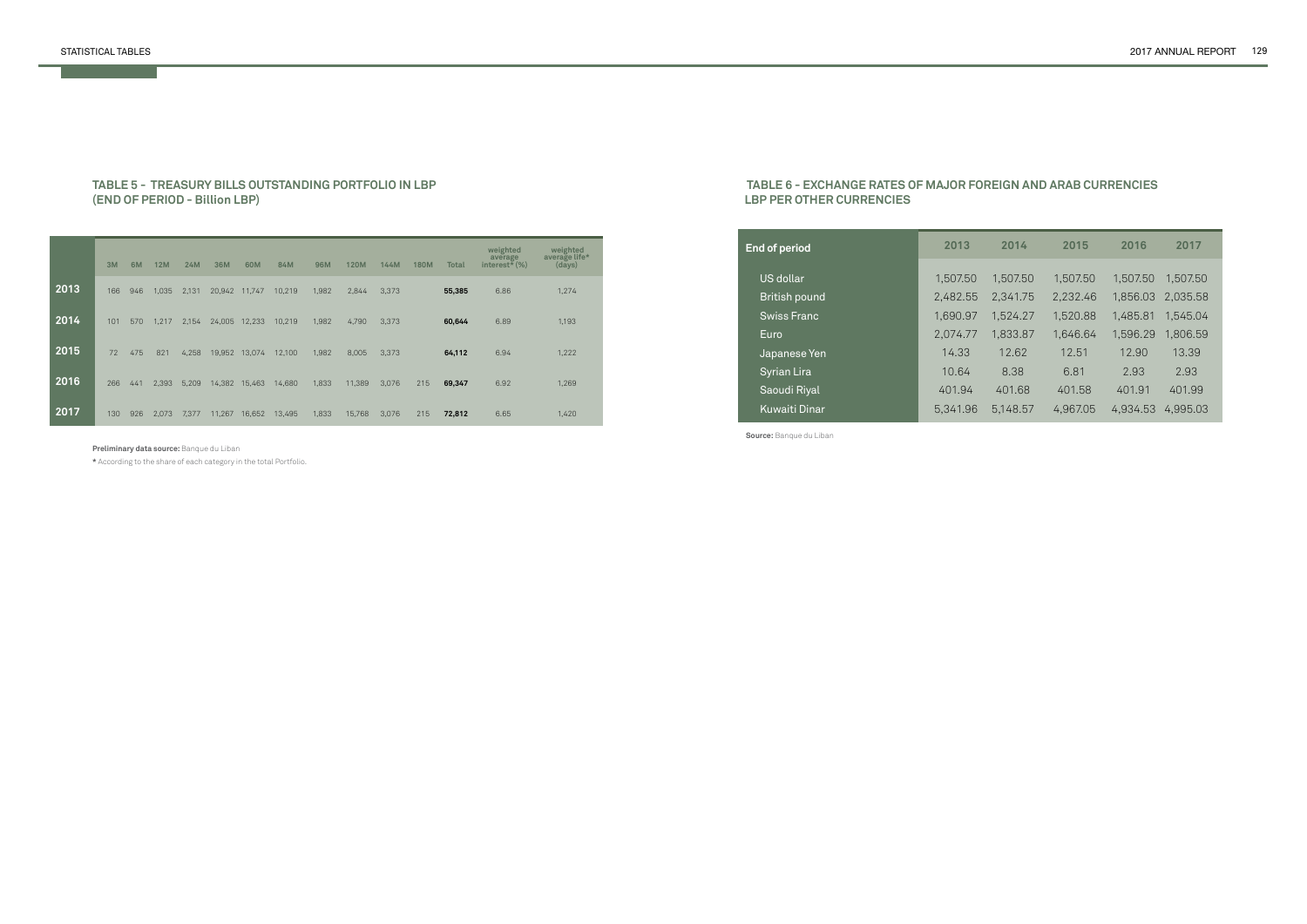#### **TABLE 5 - TREASURY BILLS OUTSTANDING PORTFOLIO IN LBP (END OF PERIOD - Billion LBP)**

|      | 3M  | 6M  | <b>12M</b> | <b>24M</b> | 36M    | 60M           | 84M    | <b>96M</b> | <b>120M</b> | 144M  | <b>180M</b> | <b>Total</b> | weighted<br>average<br>interest <sup><math>\check{\star}</math></sup> (%) | weighted<br>average life*<br>(days) |
|------|-----|-----|------------|------------|--------|---------------|--------|------------|-------------|-------|-------------|--------------|---------------------------------------------------------------------------|-------------------------------------|
| 2013 | 166 | 946 | 1,035      | 2,131      | 20,942 | 11,747        | 10,219 | 1,982      | 2,844       | 3,373 |             | 55,385       | 6.86                                                                      | 1,274                               |
| 2014 | 101 | 570 | 1,217      | 2,154      | 24,005 | 12,233        | 10,219 | 1,982      | 4,790       | 3,373 |             | 60,644       | 6.89                                                                      | 1,193                               |
| 2015 | 72  | 475 | 821        | 4,258      |        | 19,952 13,074 | 12,100 | 1,982      | 8,005       | 3,373 |             | 64,112       | 6.94                                                                      | 1,222                               |
| 2016 | 266 | 441 | 2,393      | 5,209      | 14,382 | 15,463        | 14,680 | 1,833      | 11,389      | 3,076 | 215         | 69,347       | 6.92                                                                      | 1,269                               |
| 2017 | 130 | 926 | 2,073      | 7,377      | 11,267 | 16,652        | 13,495 | 1,833      | 15,768      | 3,076 | 215         | 72,812       | 6.65                                                                      | 1,420                               |

**Preliminary data source:** Banque du Liban

**\*** According to the share of each category in the total Portfolio.

#### **TABLE 6 - EXCHANGE RATES OF MAJOR FOREIGN AND ARAB CURRENCIES LBP PER OTHER CURRENCIES**

| 2013     | 2014     | 2015     | 2016     | 2017     |
|----------|----------|----------|----------|----------|
|          |          |          |          |          |
| 1,507.50 | 1,507.50 | 1,507.50 | 1.507.50 | 1.507.50 |
| 2,482.55 | 2,341.75 | 2,232.46 | 1,856.03 | 2,035.58 |
| 1,690.97 | 1,524.27 | 1,520.88 | 1,485.81 | 1.545.04 |
| 2,074.77 | 1,833.87 | 1.646.64 | 1,596.29 | 1,806.59 |
| 14.33    | 12.62    | 12.51    | 12.90    | 13.39    |
| 10.64    | 8.38     | 6.81     | 2.93     | 2.93     |
| 401.94   | 401.68   | 401.58   | 401.91   | 401.99   |
| 5.341.96 | 5.148.57 | 4,967.05 | 4.934.53 | 4.995.03 |
|          |          |          |          |          |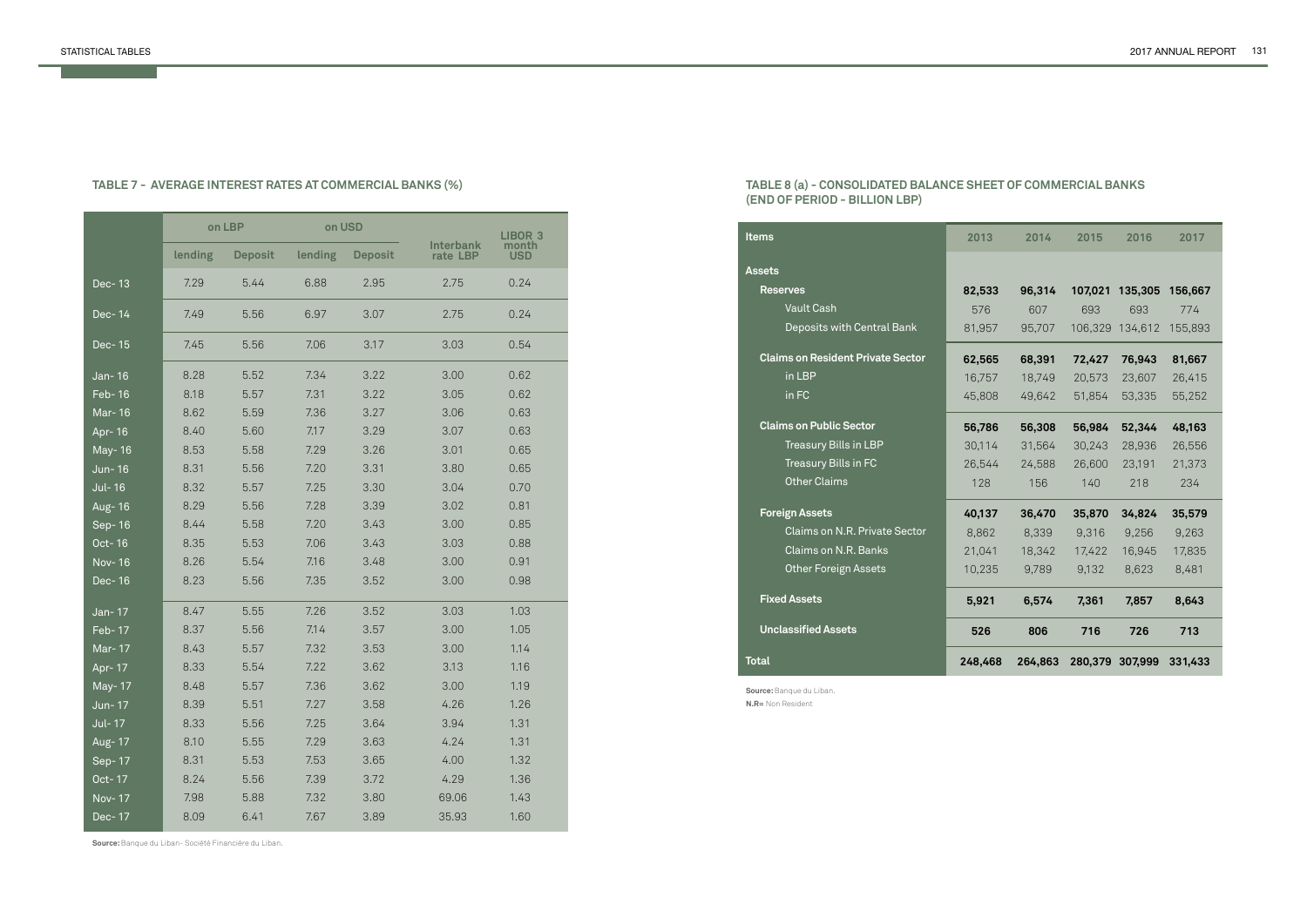|               |         | on LBP         | on USD  |                |                              | <b>LIBOR 3</b> |
|---------------|---------|----------------|---------|----------------|------------------------------|----------------|
|               | lending | <b>Deposit</b> | lending | <b>Deposit</b> | <b>Interbank</b><br>rate LBP | month<br>USD   |
| Dec-13        | 7.29    | 5.44           | 6.88    | 2.95           | 2.75                         | 0.24           |
| $Dec-14$      | 7.49    | 5.56           | 6.97    | 3.07           | 2.75                         | 0.24           |
| $Dec-15$      | 7.45    | 5.56           | 7.06    | 3.17           | 3.03                         | 0.54           |
| Jan-16        | 8.28    | 5.52           | 7.34    | 3.22           | 3.00                         | 0.62           |
| Feb-16        | 8.18    | 5.57           | 7.31    | 3.22           | 3.05                         | 0.62           |
| Mar-16        | 8.62    | 5.59           | 7.36    | 3.27           | 3.06                         | 0.63           |
| Apr- 16       | 8.40    | 5.60           | 7.17    | 3.29           | 3.07                         | 0.63           |
| May-16        | 8.53    | 5.58           | 7.29    | 3.26           | 3.01                         | 0.65           |
| Jun-16        | 8.31    | 5.56           | 7.20    | 3.31           | 3.80                         | 0.65           |
| <b>Jul-16</b> | 8.32    | 5.57           | 7.25    | 3.30           | 3.04                         | 0.70           |
| Aug- 16       | 8.29    | 5.56           | 7.28    | 3.39           | 3.02                         | 0.81           |
| $Sep-16$      | 8.44    | 5.58           | 7.20    | 3.43           | 3.00                         | 0.85           |
| Oct-16        | 8.35    | 5.53           | 7.06    | 3.43           | 3.03                         | 0.88           |
| Nov-16        | 8.26    | 5.54           | 7.16    | 3.48           | 3.00                         | 0.91           |
| Dec-16        | 8.23    | 5.56           | 7.35    | 3.52           | 3.00                         | 0.98           |
| Jan-17        | 8.47    | 5.55           | 7.26    | 3.52           | 3.03                         | 1.03           |
| Feb-17        | 8.37    | 5.56           | 7.14    | 3.57           | 3.00                         | 1.05           |
| Mar-17        | 8.43    | 5.57           | 7.32    | 3.53           | 3.00                         | 1.14           |
| Apr- 17       | 8.33    | 5.54           | 7.22    | 3.62           | 3.13                         | 1.16           |
| May-17        | 8.48    | 5.57           | 7.36    | 3.62           | 3.00                         | 1.19           |
| Jun-17        | 8.39    | 5.51           | 7.27    | 3.58           | 4.26                         | 1.26           |
| Jul-17        | 8.33    | 5.56           | 7.25    | 3.64           | 3.94                         | 1.31           |
| Aug- 17       | 8.10    | 5.55           | 7.29    | 3.63           | 4.24                         | 1.31           |
| Sep-17        | 8.31    | 5.53           | 7.53    | 3.65           | 4.00                         | 1.32           |
| Oct-17        | 8.24    | 5.56           | 7.39    | 3.72           | 4.29                         | 1.36           |
| Nov-17        | 7.98    | 5.88           | 7.32    | 3.80           | 69.06                        | 1.43           |
| Dec-17        | 8.09    | 6.41           | 7.67    | 3.89           | 35.93                        | 1.60           |

**Source:** Banque du Liban- Société Financière du Liban.

# **TABLE 7 - AVERAGE INTEREST RATES AT COMMERCIAL BANKS (%)**

**Source:** Banque du Liban. **N.R=** Non Resident

## **TABLE 8 (a) - CONSOLIDATED BALANCE SHEET OF COMMERCIAL BANKS (END OF PERIOD - BILLION LBP)**

| <b>Items</b>                             | 2013    | 2014    | 2015    | 2016            | 2017    |
|------------------------------------------|---------|---------|---------|-----------------|---------|
| <b>Assets</b>                            |         |         |         |                 |         |
| <b>Reserves</b>                          | 82,533  | 96,314  | 107,021 | 135,305         | 156,667 |
| <b>Vault Cash</b>                        | 576     | 607     | 693     | 693             | 774     |
| Deposits with Central Bank               | 81,957  | 95,707  |         | 106,329 134,612 | 155,893 |
| <b>Claims on Resident Private Sector</b> | 62,565  | 68,391  | 72,427  | 76,943          | 81,667  |
| in LBP                                   | 16,757  | 18,749  | 20,573  | 23,607          | 26,415  |
| in FC                                    | 45,808  | 49,642  | 51,854  | 53,335          | 55,252  |
| <b>Claims on Public Sector</b>           | 56,786  | 56,308  | 56,984  | 52,344          | 48,163  |
| Treasury Bills in LBP                    | 30,114  | 31,564  | 30,243  | 28,936          | 26,556  |
| Treasury Bills in FC                     | 26,544  | 24,588  | 26,600  | 23,191          | 21,373  |
| <b>Other Claims</b>                      | 128     | 156     | 140     | 218             | 234     |
| <b>Foreign Assets</b>                    | 40,137  | 36,470  | 35,870  | 34,824          | 35,579  |
| Claims on N.R. Private Sector            | 8,862   | 8,339   | 9,316   | 9,256           | 9,263   |
| Claims on N.R. Banks                     | 21,041  | 18,342  | 17,422  | 16,945          | 17,835  |
| <b>Other Foreign Assets</b>              | 10,235  | 9,789   | 9,132   | 8,623           | 8,481   |
| <b>Fixed Assets</b>                      | 5,921   | 6,574   | 7,361   | 7,857           | 8,643   |
| <b>Unclassified Assets</b>               | 526     | 806     | 716     | 726             | 713     |
| Total                                    | 248,468 | 264,863 | 280,379 | 307,999         | 331,433 |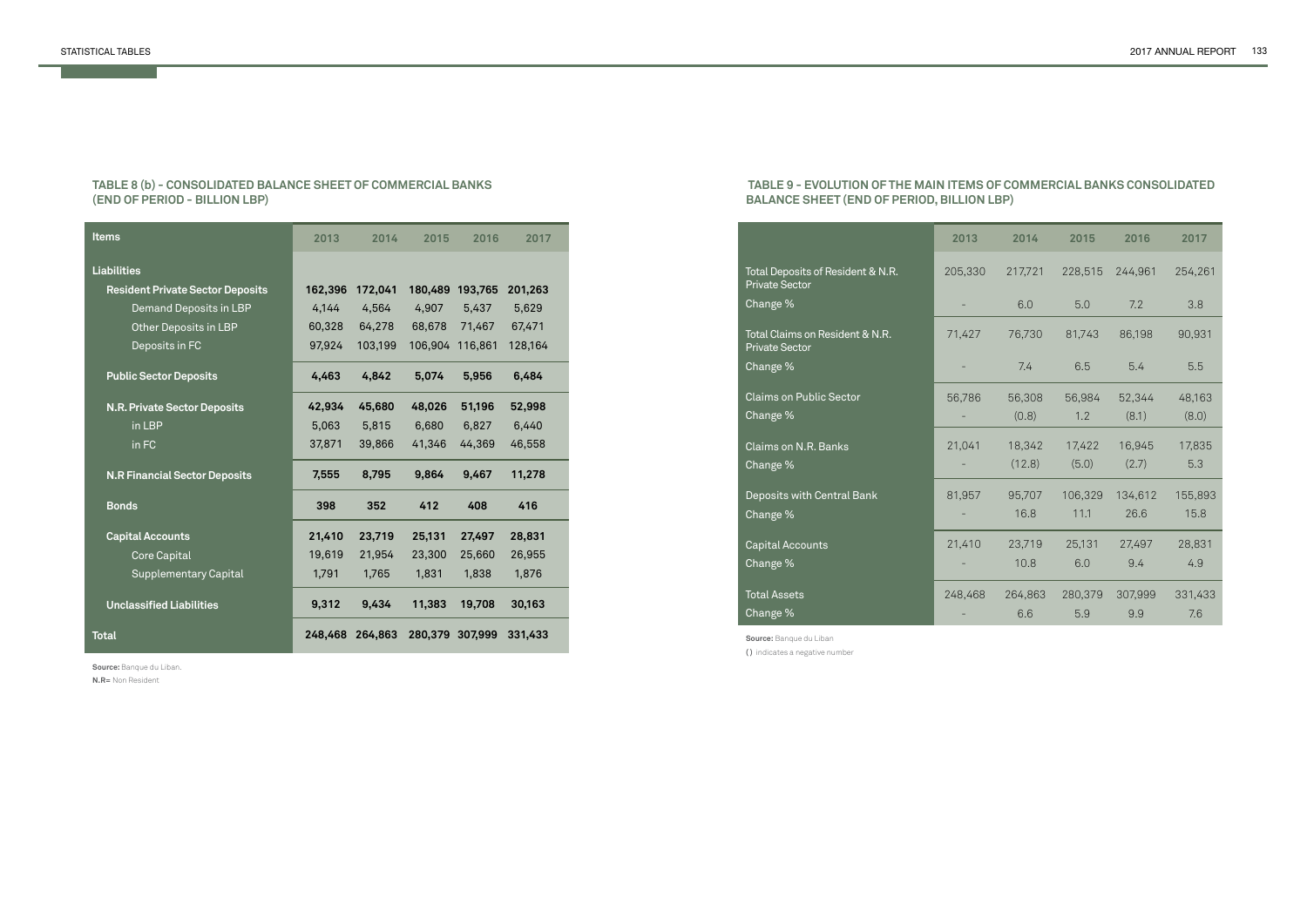**Source:** Banque du Liban. **N.R=** Non Resident

#### **TABLE 8 (b) - CONSOLIDATED BALANCE SHEET OF COMMERCIAL BANKS (END OF PERIOD - BILLION LBP)**

| <b>Items</b>                            | 2013    | 2014    | 2015    | 2016    | 2017    |
|-----------------------------------------|---------|---------|---------|---------|---------|
| <b>Liabilities</b>                      |         |         |         |         |         |
| <b>Resident Private Sector Deposits</b> | 162,396 | 172,041 | 180,489 | 193,765 | 201,263 |
| Demand Deposits in LBP                  | 4,144   | 4,564   | 4,907   | 5,437   | 5,629   |
| Other Deposits in LBP                   | 60,328  | 64,278  | 68,678  | 71,467  | 67,471  |
| Deposits in FC                          | 97,924  | 103,199 | 106,904 | 116,861 | 128,164 |
| <b>Public Sector Deposits</b>           | 4,463   | 4,842   | 5,074   | 5,956   | 6,484   |
| <b>N.R. Private Sector Deposits</b>     | 42,934  | 45,680  | 48,026  | 51,196  | 52,998  |
| in LBP                                  | 5,063   | 5,815   | 6,680   | 6,827   | 6,440   |
| in FC                                   | 37,871  | 39,866  | 41,346  | 44,369  | 46,558  |
| <b>N.R Financial Sector Deposits</b>    | 7,555   | 8,795   | 9,864   | 9,467   | 11,278  |
| <b>Bonds</b>                            | 398     | 352     | 412     | 408     | 416     |
| <b>Capital Accounts</b>                 | 21,410  | 23,719  | 25,131  | 27,497  | 28,831  |
| Core Capital                            | 19,619  | 21,954  | 23,300  | 25,660  | 26,955  |
| <b>Supplementary Capital</b>            | 1,791   | 1,765   | 1,831   | 1,838   | 1,876   |
| <b>Unclassified Liabilities</b>         | 9,312   | 9,434   | 11,383  | 19,708  | 30,163  |
| <b>Total</b>                            | 248,468 | 264,863 | 280,379 | 307,999 | 331,433 |

 **TABLE 9 - EVOLUTION OF THE MAIN ITEMS OF COMMERCIAL BANKS CONSOLIDATED BALANCE SHEET (END OF PERIOD, BILLION LBP)**

**Source:** Banque du Liban **( )** indicates a negative number

|                                                            | 2013    | 2014             | 2015            | 2016            | 2017            |
|------------------------------------------------------------|---------|------------------|-----------------|-----------------|-----------------|
| Total Deposits of Resident & N.R.<br><b>Private Sector</b> | 205,330 | 217,721          | 228,515         | 244,961         | 254,261         |
| Change %                                                   |         | 6.0              | 5.0             | 7.2             | 3.8             |
| Total Claims on Resident & N.R.<br><b>Private Sector</b>   | 71,427  | 76,730           | 81,743          | 86,198          | 90,931          |
| Change %                                                   |         | 7.4              | 6.5             | 5.4             | 5.5             |
| Claims on Public Sector<br>Change %                        | 56,786  | 56,308<br>(0.8)  | 56,984<br>1.2   | 52,344<br>(8.1) | 48,163<br>(8.0) |
| <b>Claims on N.R. Banks</b><br>Change %                    | 21,041  | 18,342<br>(12.8) | 17,422<br>(5.0) | 16,945<br>(2.7) | 17,835<br>5.3   |
| Deposits with Central Bank<br>Change %                     | 81,957  | 95,707<br>16.8   | 106,329<br>11.1 | 134,612<br>26.6 | 155,893<br>15.8 |
| Capital Accounts<br>Change %                               | 21,410  | 23,719<br>10.8   | 25,131<br>6.0   | 27,497<br>9.4   | 28,831<br>4.9   |
| <b>Total Assets</b><br>Change %                            | 248,468 | 264,863<br>6.6   | 280,379<br>5.9  | 307,999<br>9.9  | 331,433<br>7.6  |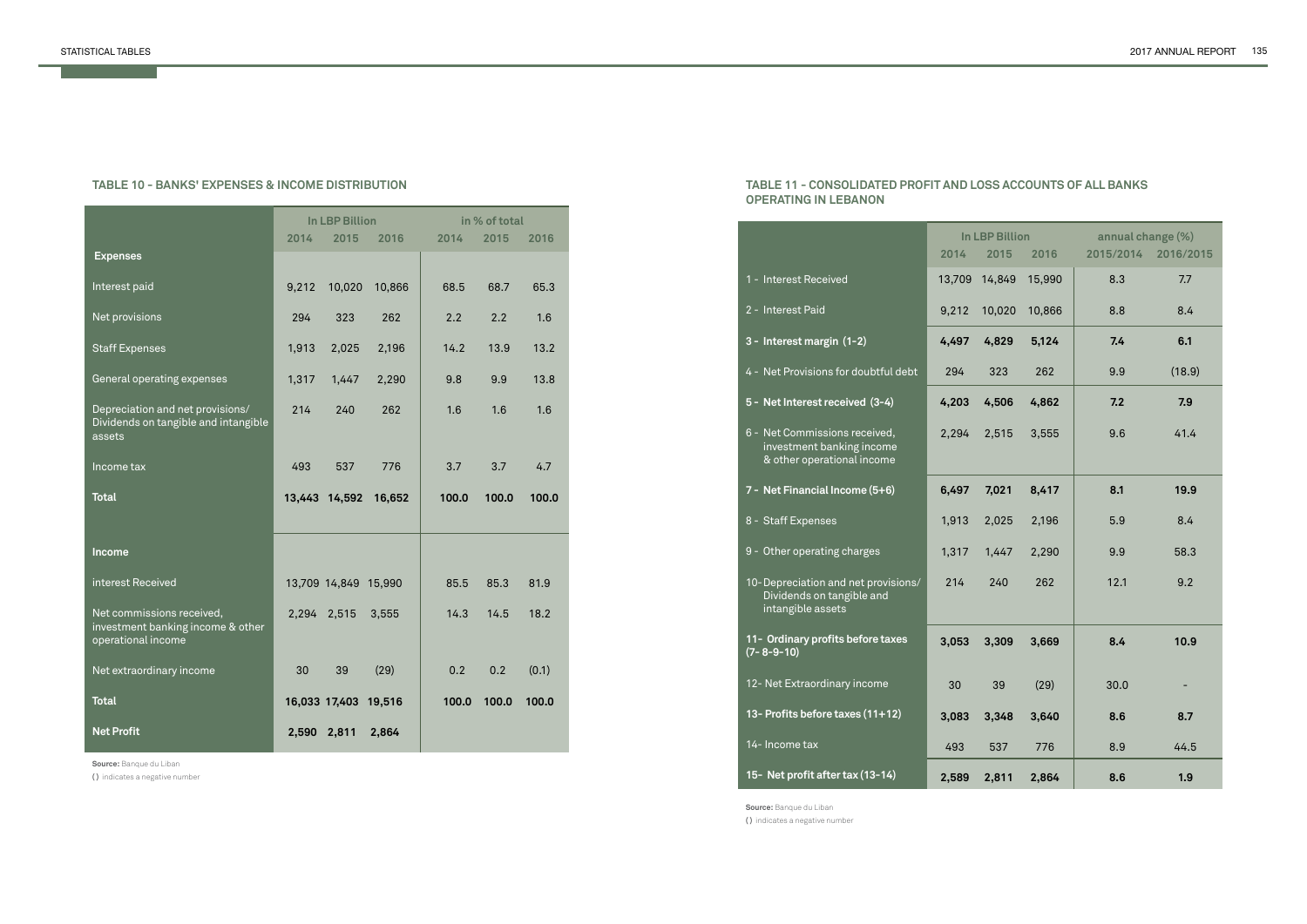| <b>SS ACCOUNTS OF ALL BANKS</b> |  |  |
|---------------------------------|--|--|
|---------------------------------|--|--|

|                                                                                      |       | <b>In LBP Billion</b> |        |       | in % of total |       |
|--------------------------------------------------------------------------------------|-------|-----------------------|--------|-------|---------------|-------|
|                                                                                      | 2014  | 2015                  | 2016   | 2014  | 2015          | 2016  |
| <b>Expenses</b>                                                                      |       |                       |        |       |               |       |
| Interest paid                                                                        | 9,212 | 10,020                | 10,866 | 68.5  | 68.7          | 65.3  |
| Net provisions                                                                       | 294   | 323                   | 262    | 2.2   | 2.2           | 1.6   |
| <b>Staff Expenses</b>                                                                | 1,913 | 2,025                 | 2,196  | 14.2  | 13.9          | 13.2  |
| General operating expenses                                                           | 1,317 | 1,447                 | 2,290  | 9.8   | 9.9           | 13.8  |
| Depreciation and net provisions/<br>Dividends on tangible and intangible<br>assets   | 214   | 240                   | 262    | 1.6   | 1.6           | 1.6   |
| Income tax                                                                           | 493   | 537                   | 776    | 3.7   | 3.7           | 4.7   |
| <b>Total</b>                                                                         |       | 13,443 14,592         | 16,652 | 100.0 | 100.0         | 100.0 |
| Income                                                                               |       |                       |        |       |               |       |
|                                                                                      |       |                       |        |       |               |       |
| interest Received                                                                    |       | 13,709 14,849 15,990  |        | 85.5  | 85.3          | 81.9  |
| Net commissions received,<br>investment banking income & other<br>operational income | 2,294 | 2,515                 | 3,555  | 14.3  | 14.5          | 18.2  |
| Net extraordinary income                                                             | 30    | 39                    | (29)   | 0.2   | 0.2           | (0.1) |
| <b>Total</b>                                                                         |       | 16,033 17,403 19,516  |        | 100.0 | 100.0         | 100.0 |
| <b>Net Profit</b>                                                                    | 2,590 | 2,811                 | 2,864  |       |               |       |

#### **TABLE 10 - BANKS' EXPENSES & INCOME DISTRIBUTION**

**Source:** Banque du Liban

**( )** indicates a negative number

## **TABLE 11 - CONSOLIDATED PROFIT AND LOS OPERATING IN LEBANON**

|                                                                                          |        | <b>In LBP Billion</b> |        | annual change (%) |           |
|------------------------------------------------------------------------------------------|--------|-----------------------|--------|-------------------|-----------|
|                                                                                          | 2014   | 2015                  | 2016   | 2015/2014         | 2016/2015 |
| 1 - Interest Received                                                                    | 13,709 | 14,849                | 15,990 | 8.3               | 7.7       |
| 2 - Interest Paid                                                                        | 9,212  | 10,020                | 10,866 | 8.8               | 8.4       |
| 3 - Interest margin (1-2)                                                                | 4,497  | 4,829                 | 5,124  | 7.4               | 6.1       |
| 4 - Net Provisions for doubtful debt                                                     | 294    | 323                   | 262    | 9.9               | (18.9)    |
| 5 - Net Interest received (3-4)                                                          | 4,203  | 4,506                 | 4,862  | 7.2               | 7.9       |
| 6 - Net Commissions received,<br>investment banking income<br>& other operational income | 2,294  | 2,515                 | 3,555  | 9.6               | 41.4      |
| 7 - Net Financial Income (5+6)                                                           | 6,497  | 7,021                 | 8,417  | 8.1               | 19.9      |
| 8 - Staff Expenses                                                                       | 1,913  | 2,025                 | 2,196  | 5.9               | 8.4       |
| 9 - Other operating charges                                                              | 1,317  | 1,447                 | 2,290  | 9.9               | 58.3      |
| 10-Depreciation and net provisions/<br>Dividends on tangible and<br>intangible assets    | 214    | 240                   | 262    | 12.1              | 9.2       |
| 11- Ordinary profits before taxes<br>$(7 - 8 - 9 - 10)$                                  | 3,053  | 3,309                 | 3,669  | 8.4               | 10.9      |
| 12- Net Extraordinary income                                                             | 30     | 39                    | (29)   | 30.0              |           |
| 13- Profits before taxes (11+12)                                                         | 3,083  | 3,348                 | 3,640  | 8.6               | 8.7       |
| 14- Income tax                                                                           | 493    | 537                   | 776    | 8.9               | 44.5      |
| 15- Net profit after tax (13-14)                                                         | 2,589  | 2,811                 | 2,864  | 8.6               | 1.9       |

**Source:** Banque du Liban **( )** indicates a negative number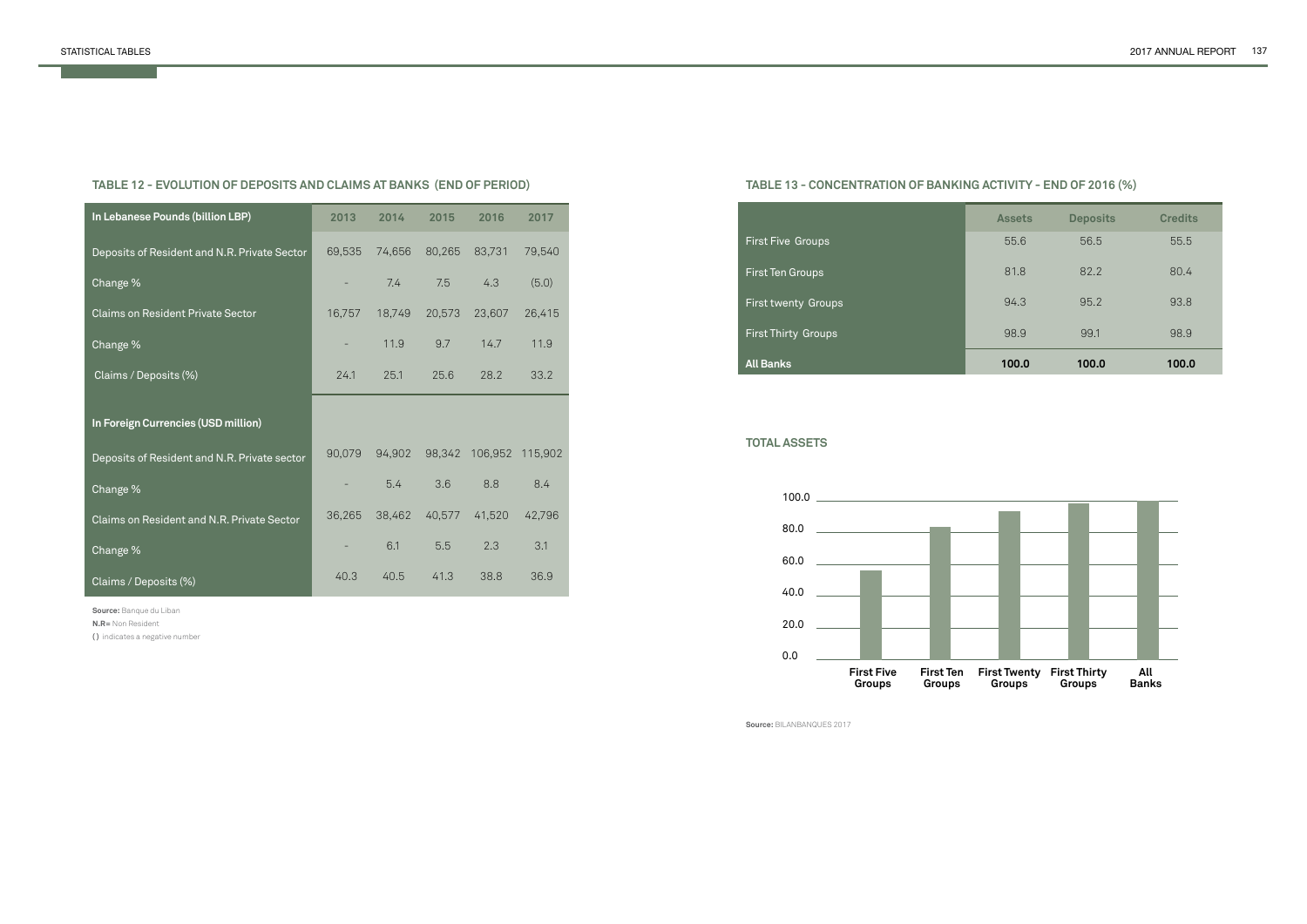**TABLE 12 - EVOLUTION OF DEPOSITS AND CLAIMS AT BANKS (END OF PERIOD)**

**Source:** Banque du Liban

**N.R=** Non Resident

**( )** indicates a negative number

| In Lebanese Pounds (billion LBP)             | 2013                     | 2014   | 2015   | 2016    | 2017    |
|----------------------------------------------|--------------------------|--------|--------|---------|---------|
| Deposits of Resident and N.R. Private Sector | 69,535                   | 74,656 | 80,265 | 83,731  | 79,540  |
| Change %                                     |                          | 7.4    | 7.5    | 4.3     | (5.0)   |
| <b>Claims on Resident Private Sector</b>     | 16,757                   | 18,749 | 20,573 | 23,607  | 26,415  |
| Change %                                     | ÷                        | 11.9   | 9.7    | 14.7    | 11.9    |
| Claims / Deposits (%)                        | 24.1                     | 25.1   | 25.6   | 28.2    | 33.2    |
|                                              |                          |        |        |         |         |
| In Foreign Currencies (USD million)          |                          |        |        |         |         |
| Deposits of Resident and N.R. Private sector | 90,079                   | 94,902 | 98,342 | 106,952 | 115,902 |
| Change %                                     | $\overline{\phantom{a}}$ | 5.4    | 3.6    | 8.8     | 8.4     |
| Claims on Resident and N.R. Private Sector   | 36,265                   | 38,462 | 40,577 | 41,520  | 42,796  |
| Change %                                     |                          | 6.1    | 5.5    | 2.3     | 3.1     |
| Claims / Deposits (%)                        | 40.3                     | 40.5   | 41.3   | 38.8    | 36.9    |

# **TABLE 13 - CONCENTRATION OF BANKING ACTIVITY - END OF 2016 (%)**

**TOTAL ASSETS**

**Source:** BILANBANQUES 2017

| <b>Assets</b> | <b>Deposits</b> | <b>Credits</b> |
|---------------|-----------------|----------------|
| 55.6          | 56.5            | 55.5           |
| 81.8          | 82.2            | 80.4           |
| 94.3          | 95.2            | 93.8           |
| 98.9          | 99.1            | 98.9           |
| 100.0         | 100.0           | 100.0          |



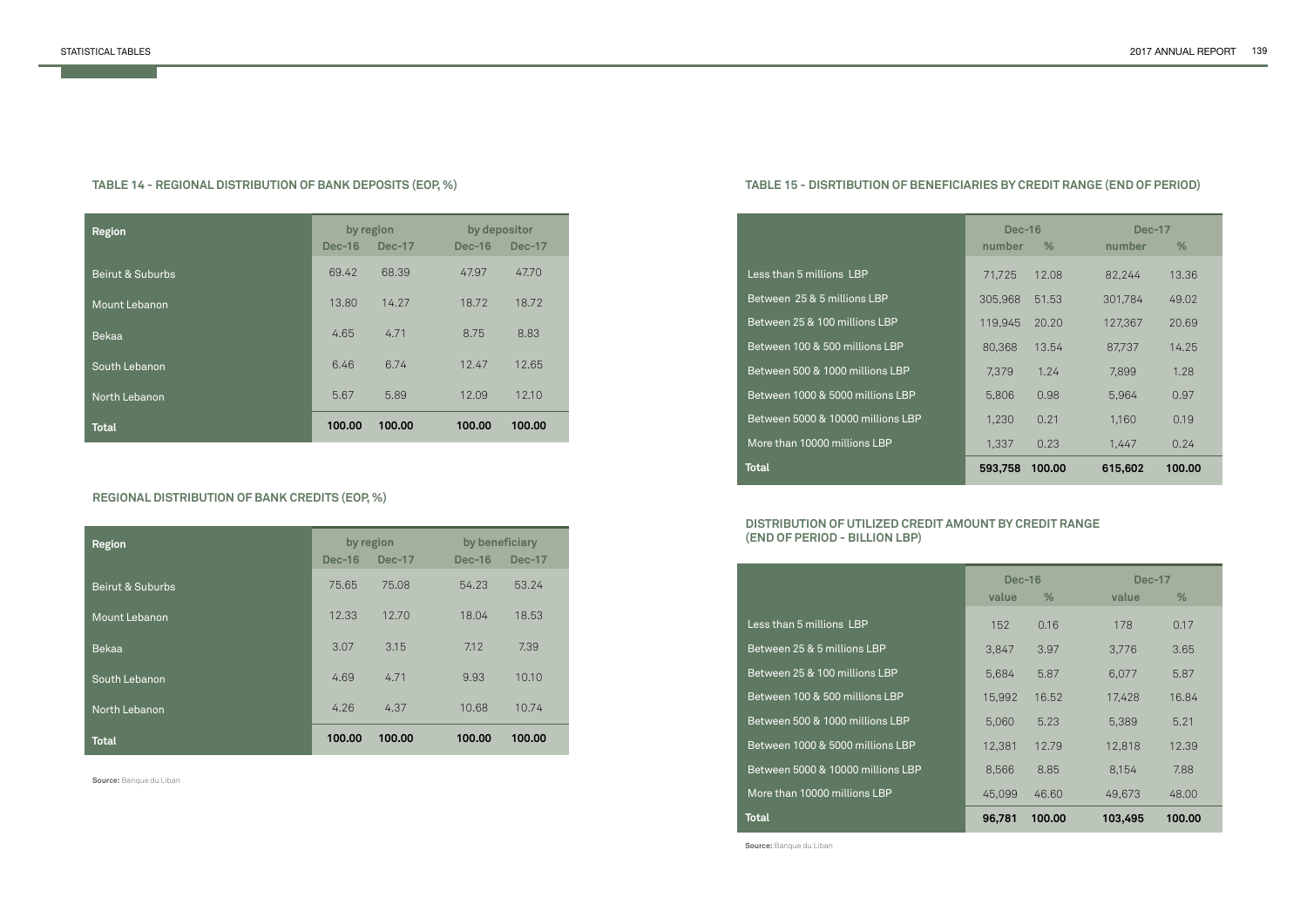# **TABLE 14 - REGIONAL DISTRIBUTION OF BANK DEPOSITS (EOP, %)**

# **REGIONAL DISTRIBUTION OF BANK CREDITS (EOP, %)**

| <b>Region</b>    |          | by region     | by depositor |               |
|------------------|----------|---------------|--------------|---------------|
|                  | $Dec-16$ | <b>Dec-17</b> | $Dec-16$     | <b>Dec-17</b> |
| Beirut & Suburbs | 69.42    | 68.39         | 47.97        | 47.70         |
| Mount Lebanon    | 13.80    | 14.27         | 18.72        | 18.72         |
| Bekaa            | 4.65     | 4.71          | 8.75         | 8.83          |
| South Lebanon    | 6.46     | 6.74          | 12.47        | 12.65         |
| North Lebanon    | 5.67     | 5.89          | 12.09        | 12.10         |
| <b>Total</b>     | 100.00   | 100.00        | 100.00       | 100.00        |

| <b>Region</b>    | by region     |               | by beneficiary |               |
|------------------|---------------|---------------|----------------|---------------|
|                  | <b>Dec-16</b> | <b>Dec-17</b> | $Dec-16$       | <b>Dec-17</b> |
| Beirut & Suburbs | 75.65         | 75.08         | 54.23          | 53.24         |
| Mount Lebanon    | 12.33         | 12.70         | 18.04          | 18.53         |
| <b>Bekaa</b>     | 3.07          | 3.15          | 7.12           | 7.39          |
| South Lebanon    | 4.69          | 4.71          | 9.93           | 10.10         |
| North Lebanon    | 4.26          | 4.37          | 10.68          | 10.74         |
| <b>Total</b>     | 100.00        | 100.00        | 100.00         | 100.00        |

**Source:** Banque du Liban

# **TABLE 15 - DISRTIBUTION OF BENEFICIARIES BY CREDIT RANGE (END OF PERIOD)**

# **DISTRIBUTION OF UTILIZED CREDIT AMOUNT BY CREDIT RANGE (END OF PERIOD - BILLION LBP)**

|                                   | <b>Dec-16</b> |        | <b>Dec-17</b> |        |
|-----------------------------------|---------------|--------|---------------|--------|
|                                   | number        | %      | number        | %      |
| Less than 5 millions LBP          | 71,725        | 12.08  | 82,244        | 13.36  |
| Between 25 & 5 millions LBP       | 305,968       | 51.53  | 301,784       | 49.02  |
| Between 25 & 100 millions LBP     | 119.945       | 20.20  | 127,367       | 20.69  |
| Between 100 & 500 millions LBP    | 80,368        | 13.54  | 87,737        | 14.25  |
| Between 500 & 1000 millions LBP   | 7,379         | 1.24   | 7,899         | 1.28   |
| Between 1000 & 5000 millions LBP  | 5,806         | 0.98   | 5,964         | 0.97   |
| Between 5000 & 10000 millions LBP | 1,230         | 0.21   | 1,160         | 0.19   |
| More than 10000 millions LBP      | 1,337         | 0.23   | 1.447         | 0.24   |
| <b>Total</b>                      | 593,758       | 100.00 | 615,602       | 100.00 |

|                                   | <b>Dec-16</b> |        | <b>Dec-17</b> |        |
|-----------------------------------|---------------|--------|---------------|--------|
|                                   | value         | %      | value         | %      |
| Less than 5 millions LBP          | 152           | 0.16   | 178           | 0.17   |
| Between 25 & 5 millions LBP       | 3,847         | 3.97   | 3,776         | 3.65   |
| Between 25 & 100 millions LBP     | 5,684         | 5.87   | 6.077         | 5.87   |
| Between 100 & 500 millions LBP    | 15,992        | 16.52  | 17,428        | 16.84  |
| Between 500 & 1000 millions LBP   | 5.060         | 5.23   | 5,389         | 5.21   |
| Between 1000 & 5000 millions LBP  | 12,381        | 12.79  | 12,818        | 12.39  |
| Between 5000 & 10000 millions LBP | 8,566         | 8.85   | 8.154         | 7.88   |
| More than 10000 millions LBP      | 45,099        | 46.60  | 49,673        | 48.00  |
| Total                             | 96,781        | 100.00 | 103,495       | 100.00 |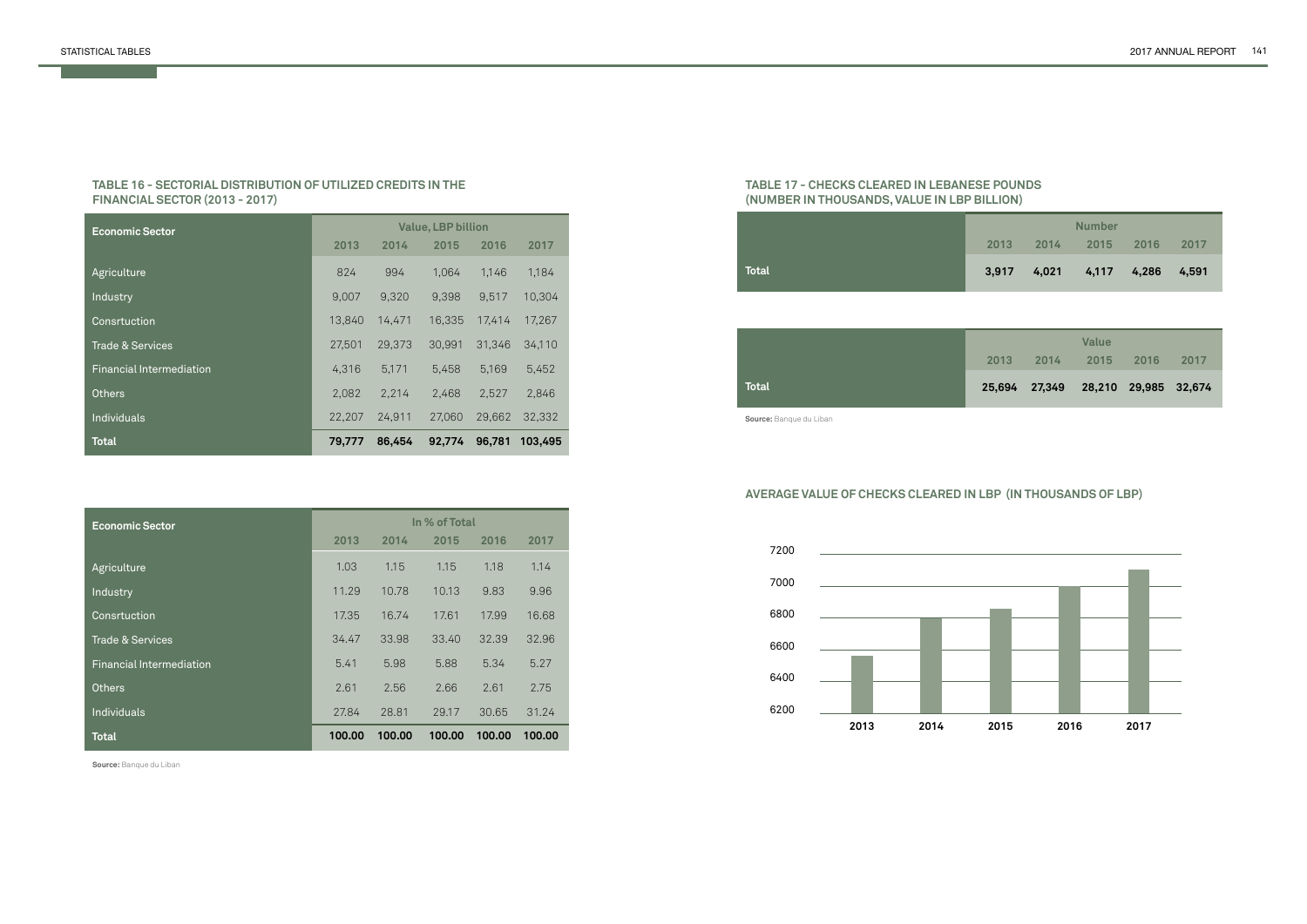| E POUNDS |  |
|----------|--|
| LLION)   |  |

#### **TABLE 16 - SECTORIAL DISTRIBUTION OF UTILIZED CREDITS IN THE FINANCIAL SECTOR (2013 - 2017)**

| <b>Economic Sector</b>          | <b>Value, LBP billion</b> |        |        |        |         |
|---------------------------------|---------------------------|--------|--------|--------|---------|
|                                 | 2013                      | 2014   | 2015   | 2016   | 2017    |
| Agriculture                     | 824                       | 994    | 1,064  | 1,146  | 1,184   |
| Industry                        | 9,007                     | 9,320  | 9,398  | 9,517  | 10,304  |
| Consrtuction                    | 13,840                    | 14,471 | 16,335 | 17,414 | 17,267  |
| <b>Trade &amp; Services</b>     | 27,501                    | 29,373 | 30,991 | 31,346 | 34,110  |
| <b>Financial Intermediation</b> | 4,316                     | 5,171  | 5.458  | 5,169  | 5,452   |
| <b>Others</b>                   | 2,082                     | 2,214  | 2,468  | 2,527  | 2,846   |
| Individuals                     | 22,207                    | 24,911 | 27,060 | 29,662 | 32,332  |
| <b>Total</b>                    | 79,777                    | 86,454 | 92.774 | 96,781 | 103,495 |

| <b>Economic Sector</b>          | In % of Total |        |        |        |        |
|---------------------------------|---------------|--------|--------|--------|--------|
|                                 | 2013          | 2014   | 2015   | 2016   | 2017   |
| Agriculture                     | 1.03          | 1.15   | 1.15   | 1.18   | 1.14   |
| Industry                        | 11.29         | 10.78  | 10.13  | 9.83   | 9.96   |
| Consrtuction                    | 17.35         | 16.74  | 17.61  | 17.99  | 16.68  |
| Trade & Services                | 34.47         | 33.98  | 33.40  | 32.39  | 32.96  |
| <b>Financial Intermediation</b> | 5.41          | 5.98   | 5.88   | 5.34   | 5.27   |
| <b>Others</b>                   | 2.61          | 2.56   | 2.66   | 2.61   | 2.75   |
| Individuals                     | 27.84         | 28.81  | 29.17  | 30.65  | 31.24  |
| <b>Total</b>                    | 100.00        | 100.00 | 100.00 | 100.00 | 100.00 |

**Source:** Banque du Liban

#### **TABLE 17 - CHECKS CLEARED IN LEBANESE (NUMBER IN THOUSANDS, VALUE IN LBP BIL**

|       |       | <b>Number</b> |       |        |  |
|-------|-------|---------------|-------|--------|--|
| 2013  | 2014  | 2015          | 2016  | 2017   |  |
| 3,917 | 4,021 | 4,117         | 4,286 | -4.591 |  |

| 2013 | 2014 | <b>Value</b><br>2015               | <b>2016</b> | 2017 |
|------|------|------------------------------------|-------------|------|
|      |      | 25,694 27,349 28,210 29,985 32,674 |             |      |

# **AVERAGE VALUE OF CHECKS CLEARED IN LBP (IN THOUSANDS OF LBP)**



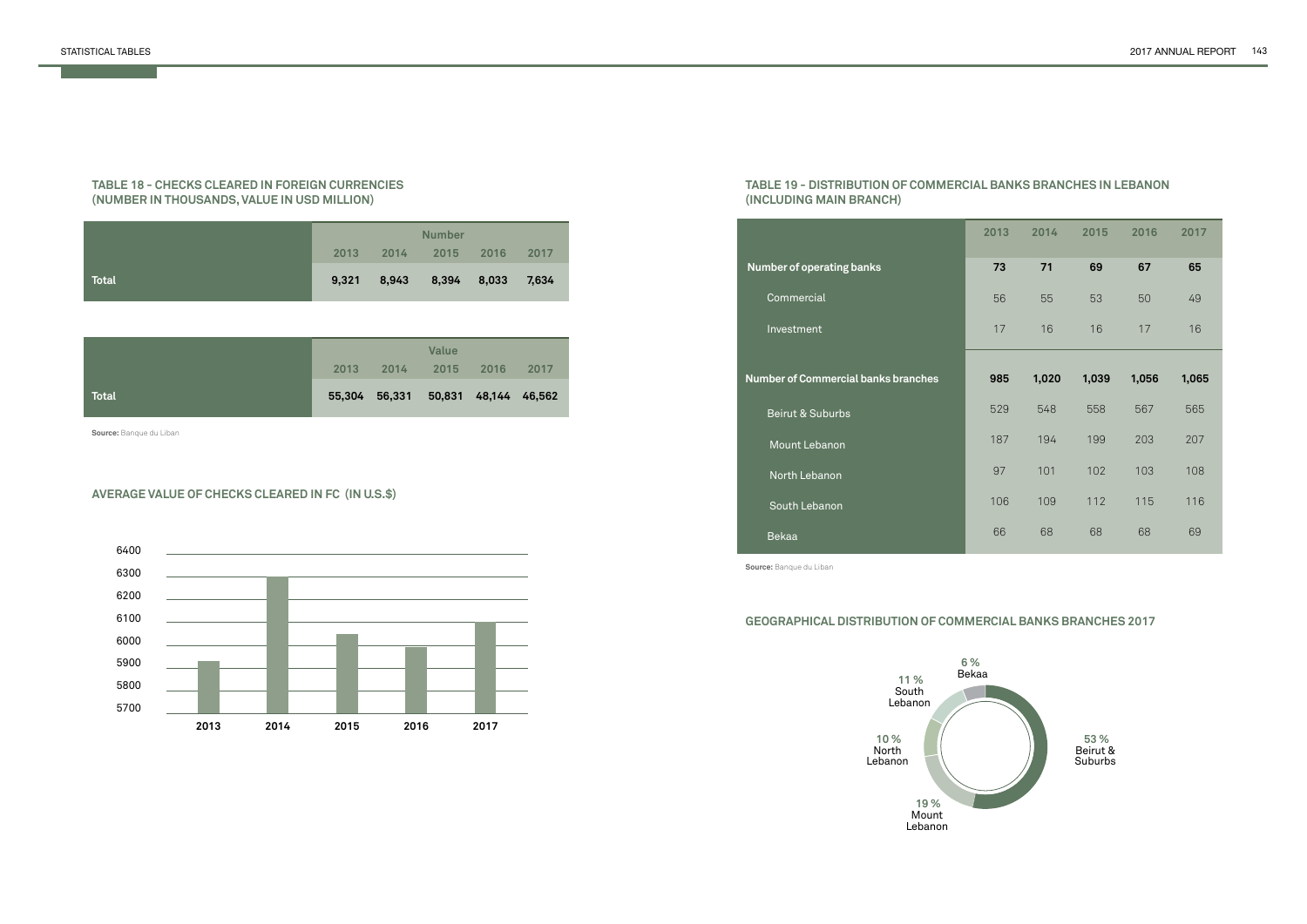#### **TABLE 18 - CHECKS CLEARED IN FOREIGN CURRENCIES (NUMBER IN THOUSANDS, VALUE IN USD MILLION)**

|              | <b>Number</b> |           |                   |      |       |  |
|--------------|---------------|-----------|-------------------|------|-------|--|
|              | 2013          | 2014 2015 |                   | 2016 | 2017  |  |
| <b>Total</b> | 9,321         |           | 8,943 8,394 8,033 |      | 7,634 |  |

|       |      |                                    | <b>Value</b> |      |      |  |
|-------|------|------------------------------------|--------------|------|------|--|
|       | 2013 | 2014                               | 2015         | 2016 | 2017 |  |
| Total |      | 55,304 56,331 50,831 48,144 46,562 |              |      |      |  |

#### **AVERAGE VALUE OF CHECKS CLEARED IN FC (IN U.S.\$)**

**Source:** Banque du Liban



**53 %** Beirut & **Suburbs** 

## **TABLE 19 - DISTRIBUTION OF COMMERCIAL BANKS BRANCHES IN LEBANON (INCLUDING MAIN BRANCH)**

# **GEOGRAPHICAL DISTRIBUTION OF COMMERCIAL BANKS BRANCHES 2017**

| 2013 | 2014  | 2015  | 2016  | 2017  |
|------|-------|-------|-------|-------|
| 73   | 71    | 69    | 67    | 65    |
| 56   | 55    | 53    | 50    | 49    |
| 17   | 16    | 16    | 17    | 16    |
|      |       |       |       |       |
| 985  | 1,020 | 1,039 | 1,056 | 1,065 |
| 529  | 548   | 558   | 567   | 565   |
| 187  | 194   | 199   | 203   | 207   |
| 97   | 101   | 102   | 103   | 108   |
| 106  | 109   | 112   | 115   | 116   |
| 66   | 68    | 68    | 68    | 69    |



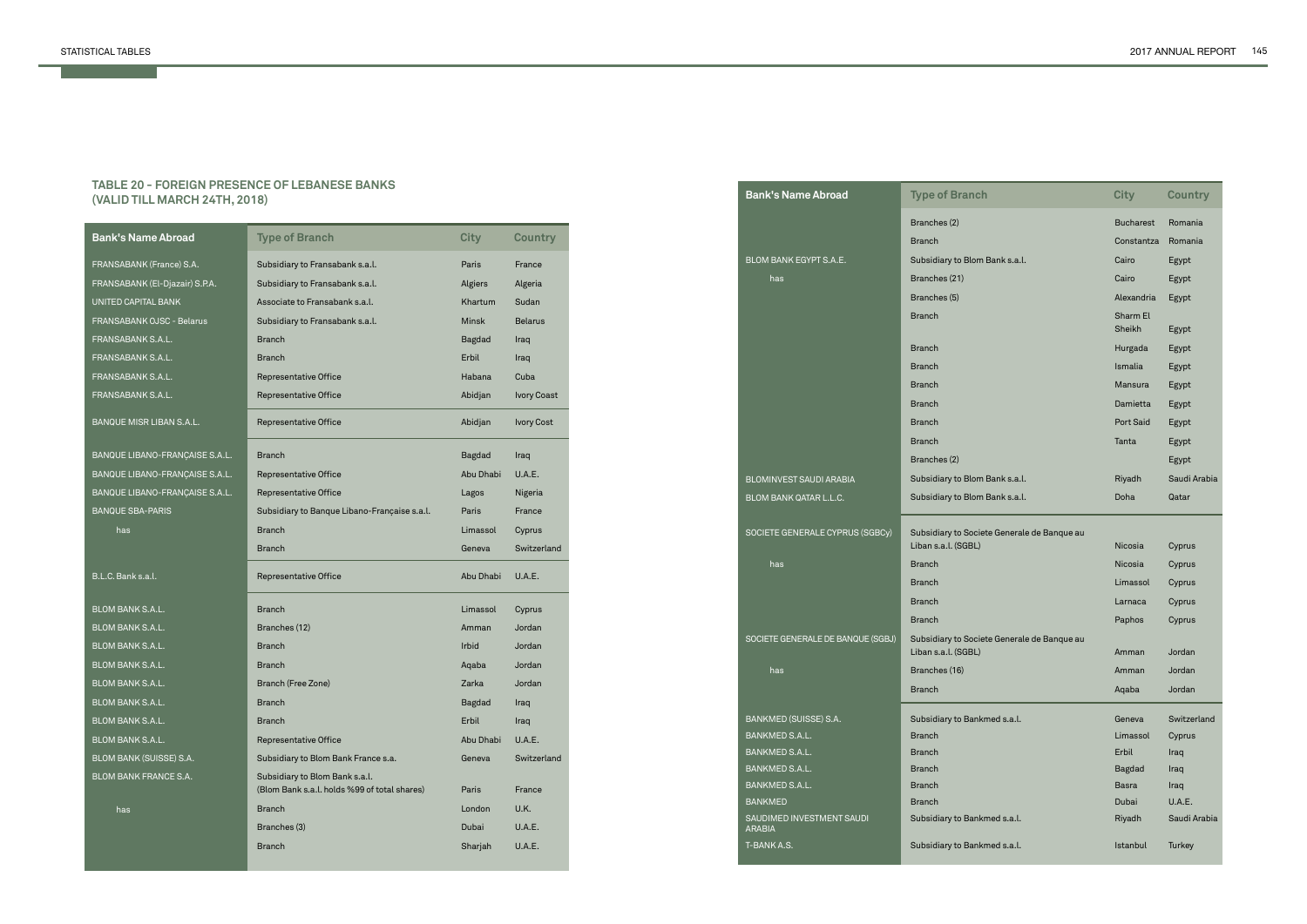#### **TABLE 20 - FOREIGN PRESENCE OF LEBANESE BANKS (VALID TILL MARCH 24TH, 2018)**

| <b>Bank's Name Abroad</b>        | <b>Type of Branch</b>                                                          | <b>City</b>   | <b>Country</b>     |
|----------------------------------|--------------------------------------------------------------------------------|---------------|--------------------|
| FRANSABANK (France) S.A.         | Subsidiary to Fransabank s.a.l.                                                | Paris         | France             |
| FRANSABANK (El-Djazair) S.P.A.   | Subsidiary to Fransabank s.a.l.                                                | Algiers       | Algeria            |
| UNITED CAPITAL BANK              | Associate to Fransabank s.a.l.                                                 | Khartum       | Sudan              |
| <b>FRANSABANK OJSC - Belarus</b> | Subsidiary to Fransabank s.a.l.                                                | <b>Minsk</b>  | <b>Belarus</b>     |
| FRANSABANK S.A.L.                | <b>Branch</b>                                                                  | <b>Bagdad</b> | Iraq               |
| FRANSABANK S.A.L.                | <b>Branch</b>                                                                  | Erbil         | Iraq               |
| FRANSABANK S.A.L.                | Representative Office                                                          | Habana        | Cuba               |
| FRANSABANK S.A.L.                | Representative Office                                                          | Abidjan       | <b>Ivory Coast</b> |
| BANQUE MISR LIBAN S.A.L.         | Representative Office                                                          | Abidjan       | <b>Ivory Cost</b>  |
| BANQUE LIBANO-FRANÇAISE S.A.L.   | <b>Branch</b>                                                                  | <b>Bagdad</b> | Iraq               |
| BANQUE LIBANO-FRANÇAISE S.A.L.   | Representative Office                                                          | Abu Dhabi     | U.A.E.             |
| BANQUE LIBANO-FRANÇAISE S.A.L.   | <b>Representative Office</b>                                                   | Lagos         | Nigeria            |
| <b>BANQUE SBA-PARIS</b>          | Subsidiary to Banque Libano-Française s.a.l.                                   | Paris         | France             |
| has                              | <b>Branch</b>                                                                  | Limassol      | Cyprus             |
|                                  |                                                                                |               |                    |
|                                  | <b>Branch</b>                                                                  | Geneva        | Switzerland        |
| B.L.C. Bank s.a.l.               | Representative Office                                                          | Abu Dhabi     | U.A.E.             |
| <b>BLOM BANK S.A.L.</b>          | <b>Branch</b>                                                                  | Limassol      | Cyprus             |
| <b>BLOM BANK S.A.L.</b>          | Branches (12)                                                                  | Amman         | Jordan             |
| <b>BLOM BANK S.A.L.</b>          | <b>Branch</b>                                                                  | <b>Irbid</b>  | Jordan             |
| BLOM BANK S.A.L.                 | <b>Branch</b>                                                                  | Aqaba         | Jordan             |
| <b>BLOM BANK S.A.L.</b>          | Branch (Free Zone)                                                             | Zarka         | Jordan             |
| <b>BLOM BANK S.A.L.</b>          | <b>Branch</b>                                                                  | <b>Bagdad</b> | Iraq               |
| <b>BLOM BANK S.A.L.</b>          | Branch                                                                         | Erbil         | Iraq               |
| BLOM BANK S.A.L.                 | <b>Representative Office</b>                                                   | Abu Dhabi     | <b>U.A.E.</b>      |
| BLOM BANK (SUISSE) S.A.          | Subsidiary to Blom Bank France s.a.                                            | Geneva        | Switzerland        |
| <b>BLOM BANK FRANCE S.A.</b>     | Subsidiary to Blom Bank s.a.l.<br>(Blom Bank s.a.l. holds %99 of total shares) | Paris         | France             |
|                                  | <b>Branch</b>                                                                  | London        | U.K.               |
| has                              | Branches (3)                                                                   | Dubai         | U.A.E.             |
|                                  | <b>Branch</b>                                                                  | Sharjah       | U.A.E.             |

| <b>Bank's Name Abroad</b>                  | <b>Type of Branch</b>                                              | <b>City</b>      | <b>Country</b> |
|--------------------------------------------|--------------------------------------------------------------------|------------------|----------------|
|                                            | Branches (2)                                                       | <b>Bucharest</b> | Romania        |
|                                            | <b>Branch</b>                                                      | Constantza       | Romania        |
| BLOM BANK EGYPT S.A.E.                     | Subsidiary to Blom Bank s.a.l.                                     | Cairo            | Egypt          |
| has                                        | Branches (21)                                                      | Cairo            | Egypt          |
|                                            | Branches (5)                                                       | Alexandria       | Egypt          |
|                                            | <b>Branch</b>                                                      | Sharm El         |                |
|                                            |                                                                    | Sheikh           | Egypt          |
|                                            | <b>Branch</b>                                                      | Hurgada          | Egypt          |
|                                            | <b>Branch</b>                                                      | Ismalia          | Egypt          |
|                                            | <b>Branch</b>                                                      | <b>Mansura</b>   | Egypt          |
|                                            | <b>Branch</b>                                                      | Damietta         | Egypt          |
|                                            | <b>Branch</b>                                                      | Port Said        | Egypt          |
|                                            | <b>Branch</b>                                                      | Tanta            | Egypt          |
|                                            | Branches (2)                                                       |                  | Egypt          |
| BLOMINVEST SAUDI ARABIA                    | Subsidiary to Blom Bank s.a.l.                                     | Riyadh           | Saudi Arabia   |
| <b>BLOM BANK QATAR L.L.C.</b>              | Subsidiary to Blom Bank s.a.l.                                     | Doha             | Qatar          |
|                                            |                                                                    |                  |                |
| SOCIETE GENERALE CYPRUS (SGBCy)            | Subsidiary to Societe Generale de Banque au<br>Liban s.a.l. (SGBL) | <b>Nicosia</b>   | Cyprus         |
| has                                        | <b>Branch</b>                                                      | Nicosia          | Cyprus         |
|                                            | <b>Branch</b>                                                      | Limassol         | Cyprus         |
|                                            | <b>Branch</b>                                                      | Larnaca          | Cyprus         |
|                                            | <b>Branch</b>                                                      | Paphos           | Cyprus         |
| SOCIETE GENERALE DE BANQUE (SGBJ)          | Subsidiary to Societe Generale de Banque au                        |                  |                |
|                                            | Liban s.a.l. (SGBL)                                                | Amman            | Jordan         |
| has                                        | Branches (16)                                                      | Amman            | Jordan         |
|                                            | <b>Branch</b>                                                      | Aqaba            | Jordan         |
| BANKMED (SUISSE) S.A.                      | Subsidiary to Bankmed s.a.l.                                       | Geneva           | Switzerland    |
| BANKMED S.A.L.                             | <b>Branch</b>                                                      | Limassol         | Cyprus         |
| BANKMED S.A.L.                             | <b>Branch</b>                                                      | Erbil            | Iraq           |
| BANKMED S.A.L.                             | <b>Branch</b>                                                      | <b>Bagdad</b>    | Iraq           |
| BANKMED S.A.L.                             | <b>Branch</b>                                                      | Basra            | Iraq           |
| <b>BANKMED</b>                             | <b>Branch</b>                                                      | Dubai            | U.A.E.         |
| SAUDIMED INVESTMENT SAUDI<br><b>ARABIA</b> | Subsidiary to Bankmed s.a.l.                                       | Riyadh           | Saudi Arabia   |
| T-BANK A.S.                                | Subsidiary to Bankmed s.a.l.                                       | Istanbul         | Turkey         |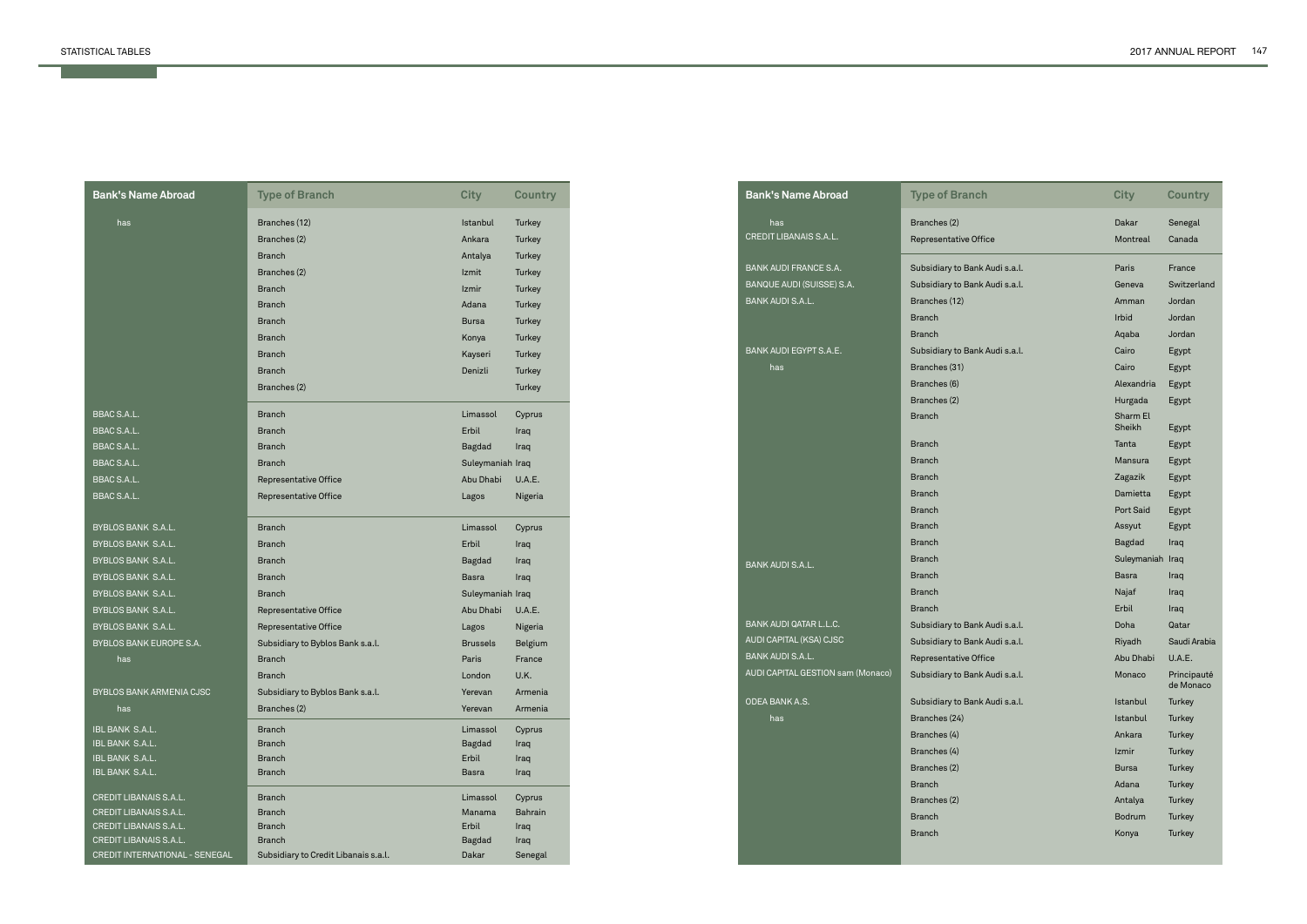and the contract of the contract of

| <b>Bank's Name Abroad</b>                | <b>Type of Branch</b>                                 | <b>City</b>        | Country           |
|------------------------------------------|-------------------------------------------------------|--------------------|-------------------|
| has                                      | Branches (12)                                         | Istanbul           | Turkey            |
|                                          | Branches (2)                                          | Ankara             | Turkey            |
|                                          | <b>Branch</b>                                         | Antalya            | Turkey            |
|                                          | Branches (2)                                          | Izmit              | Turkey            |
|                                          | <b>Branch</b>                                         | Izmir              | Turkey            |
|                                          | <b>Branch</b>                                         | Adana              | Turkey            |
|                                          | <b>Branch</b>                                         | <b>Bursa</b>       | Turkey            |
|                                          | <b>Branch</b>                                         | Konya              | Turkey            |
|                                          | <b>Branch</b>                                         | Kayseri            | Turkey            |
|                                          | <b>Branch</b>                                         | Denizli            | Turkey            |
|                                          | Branches (2)                                          |                    | Turkey            |
|                                          |                                                       |                    |                   |
| <b>BBAC S.A.L.</b>                       | <b>Branch</b>                                         | Limassol           | Cyprus            |
| BBAC S.A.L.                              | <b>Branch</b>                                         | Erbil              | Iraq              |
| <b>BBAC S.A.L.</b>                       | <b>Branch</b>                                         | Bagdad             | Iraq              |
| <b>BBAC S.A.L.</b>                       | <b>Branch</b>                                         | Suleymaniah Iraq   |                   |
| <b>BBAC S.A.L.</b><br><b>BBAC S.A.L.</b> | Representative Office<br><b>Representative Office</b> | Abu Dhabi<br>Lagos | U.A.E.<br>Nigeria |
|                                          |                                                       |                    |                   |
| BYBLOS BANK S.A.L.                       | <b>Branch</b>                                         | Limassol           | Cyprus            |
| BYBLOS BANK S.A.L.                       | <b>Branch</b>                                         | Erbil              | Iraq              |
| BYBLOS BANK S.A.L.                       | <b>Branch</b>                                         | Bagdad             | Iraq              |
| BYBLOS BANK S.A.L.                       | <b>Branch</b>                                         | Basra              | Iraq              |
| BYBLOS BANK S.A.L.                       | <b>Branch</b>                                         | Suleymaniah Iraq   |                   |
| BYBLOS BANK S.A.L.                       | Representative Office                                 | Abu Dhabi          | <b>U.A.E.</b>     |
| BYBLOS BANK S.A.L.                       | Representative Office                                 | Lagos              | Nigeria           |
| BYBLOS BANK EUROPE S.A.                  | Subsidiary to Byblos Bank s.a.l.                      | <b>Brussels</b>    | Belgium           |
| has                                      | <b>Branch</b>                                         | Paris              | France            |
|                                          | <b>Branch</b>                                         | London             | U.K.              |
| BYBLOS BANK ARMENIA CJSC                 | Subsidiary to Byblos Bank s.a.l.                      | Yerevan            | Armenia           |
| has                                      | Branches (2)                                          | Yerevan            | Armenia           |
| IBL BANK S.A.L.                          | <b>Branch</b>                                         | Limassol           | Cyprus            |
| IBL BANK S.A.L.                          | <b>Branch</b>                                         | Bagdad             | Iraq              |
| IBL BANK S.A.L.                          | <b>Branch</b>                                         | Erbil              | Iraq              |
| IBL BANK S.A.L.                          | <b>Branch</b>                                         | Basra              | Iraq              |
| CREDIT LIBANAIS S.A.L.                   | <b>Branch</b>                                         | Limassol           | Cyprus            |
| <b>CREDIT LIBANAIS S.A.L.</b>            | <b>Branch</b>                                         | Manama             | Bahrain           |
| CREDIT LIBANAIS S.A.L.                   | <b>Branch</b>                                         | Erbil              | Iraq              |
| CREDIT LIBANAIS S.A.L.                   | <b>Branch</b>                                         | Bagdad             | Iraq              |
| CREDIT INTERNATIONAL - SENEGAL           | Subsidiary to Credit Libanais s.a.l.                  | Dakar              | Senegal           |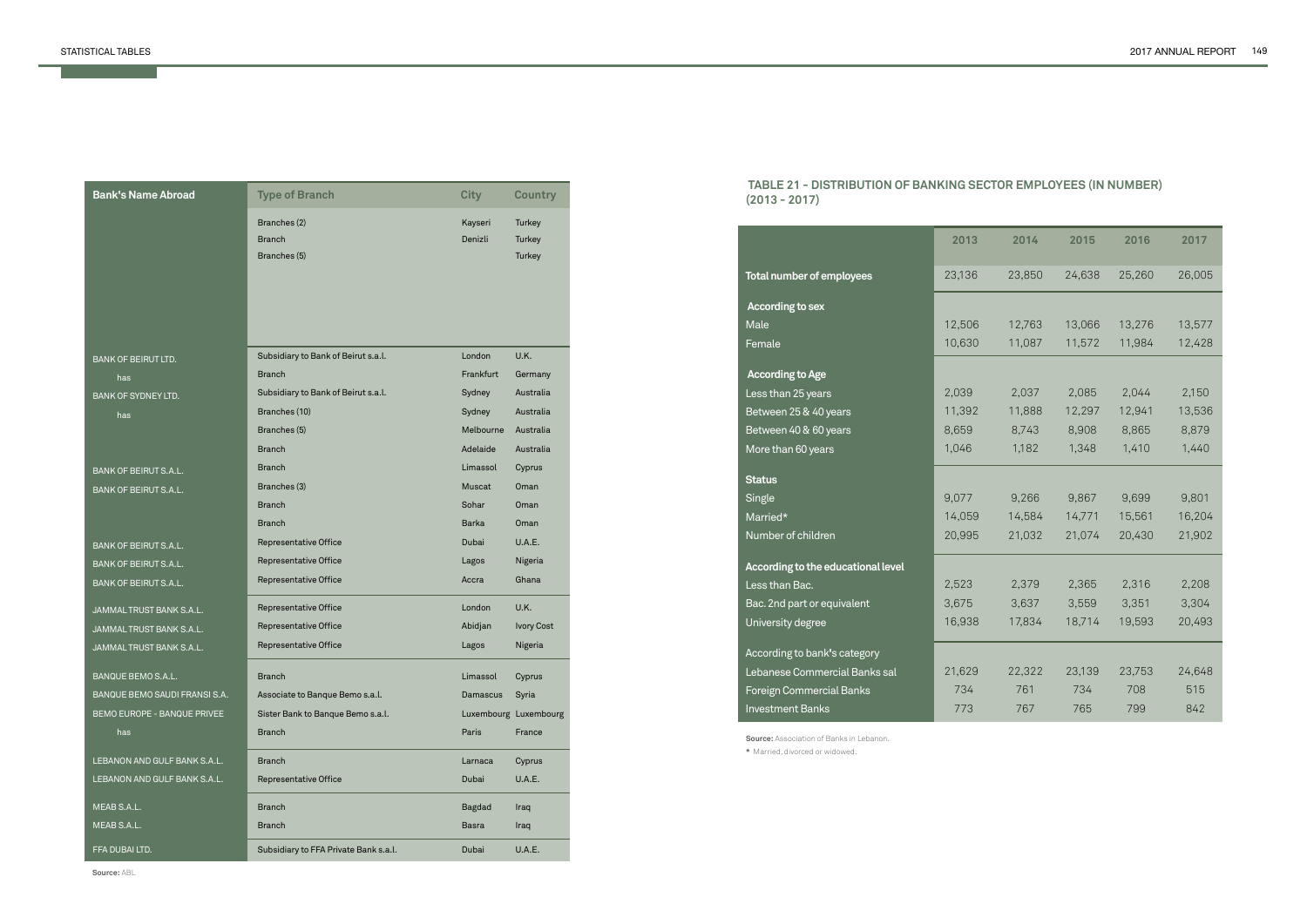| <b>Bank's Name Abroad</b>     | <b>Type of Branch</b>                 | <b>City</b>   | <b>Country</b>        |
|-------------------------------|---------------------------------------|---------------|-----------------------|
|                               | Branches (2)                          | Kayseri       | Turkey                |
|                               | <b>Branch</b>                         | Denizli       | Turkey                |
|                               | Branches (5)                          |               | Turkey                |
|                               |                                       |               |                       |
|                               |                                       |               |                       |
|                               |                                       |               |                       |
|                               |                                       |               |                       |
| <b>BANK OF BEIRUT LTD.</b>    | Subsidiary to Bank of Beirut s.a.l.   | London        | U.K.                  |
| has                           | <b>Branch</b>                         | Frankfurt     | Germany               |
| BANK OF SYDNEY LTD.           | Subsidiary to Bank of Beirut s.a.l.   | Sydney        | Australia             |
| has                           | Branches (10)                         | Sydney        | Australia             |
|                               | Branches (5)                          | Melbourne     | Australia             |
|                               | <b>Branch</b>                         | Adelaide      | Australia             |
| BANK OF BEIRUT S.A.L.         | <b>Branch</b>                         | Limassol      | Cyprus                |
| <b>BANK OF BEIRUT S.A.L.</b>  | Branches (3)                          | <b>Muscat</b> | Oman                  |
|                               | <b>Branch</b>                         | Sohar         | Oman                  |
|                               | <b>Branch</b>                         | <b>Barka</b>  | Oman                  |
| <b>BANK OF BEIRUT S.A.L.</b>  | Representative Office                 | Dubai         | U.A.E.                |
| BANK OF BEIRUT S.A.L.         | Representative Office                 | Lagos         | Nigeria               |
| BANK OF BEIRUT S.A.L.         | Representative Office                 | Accra         | Ghana                 |
| JAMMAL TRUST BANK S.A.L.      | Representative Office                 | London        | U.K.                  |
| JAMMAL TRUST BANK S.A.L.      | Representative Office                 | Abidjan       | <b>Ivory Cost</b>     |
| JAMMALTRUST BANK S.A.L.       | Representative Office                 | Lagos         | Nigeria               |
| BANQUE BEMO S.A.L.            | <b>Branch</b>                         | Limassol      | Cyprus                |
| BANQUE BEMO SAUDI FRANSI S.A. | Associate to Banque Bemo s.a.l.       | Damascus      | Syria                 |
| BEMO EUROPE - BANQUE PRIVEE   | Sister Bank to Banque Bemo s.a.l.     |               | Luxembourg Luxembourg |
| has                           | <b>Branch</b>                         | Paris         | France                |
| LEBANON AND GULF BANK S.A.L.  | <b>Branch</b>                         | Larnaca       | Cyprus                |
| LEBANON AND GULF BANK S.A.L.  | <b>Representative Office</b>          | <b>Dubai</b>  | U.A.E.                |
| MEAB S.A.L.                   | <b>Branch</b>                         | Bagdad        | Iraq                  |
| MEAB S.A.L.                   | <b>Branch</b>                         | <b>Basra</b>  | Iraq                  |
| FFA DUBAI LTD.                | Subsidiary to FFA Private Bank s.a.l. | Dubai         | U.A.E.                |

**Source:** ABL

# **TABLE 21 - DISTRIBUTION OF BANKING SECTOR EMPLOYEES (IN NUMBER) (2013 - 2017)**

**Source:** Association of Banks in Lebanon. **\*** Married, divorced or widowed.

| 23,136<br>23,850<br>24,638<br>25,260<br>26,005<br>12,506<br>12,763<br>13,066<br>13,577<br>13,276<br>11,572<br>10,630<br>11,087<br>11,984<br>12,428<br>2,037<br>2,150<br>2,039<br>2,085<br>2,044<br>11,392<br>12,941<br>11,888<br>12,297<br>13,536<br>8,659<br>8,908<br>8,865<br>8,879<br>8,743<br>1,046<br>1,182<br>1,348<br>1,410<br>1,440<br>9,077<br>9,266<br>9,867<br>9,699<br>9,801<br>14,771<br>15,561<br>14,059<br>14,584<br>16,204<br>20,995<br>21,032<br>21,074<br>20,430<br>21,902<br>2,523<br>2,365<br>2,316<br>2,208<br>2,379<br>3,675<br>3,637<br>3,559<br>3,351<br>3,304<br>16,938<br>17,834<br>18,714<br>19,593<br>20,493<br>21,629<br>22,322<br>23,139<br>23,753<br>24,648<br>734<br>761<br>734<br>708<br>515<br>765<br>799<br>842<br>773<br>767 |                                    | 2013 | 2014 | 2015 | 2016 | 2017 |
|------------------------------------------------------------------------------------------------------------------------------------------------------------------------------------------------------------------------------------------------------------------------------------------------------------------------------------------------------------------------------------------------------------------------------------------------------------------------------------------------------------------------------------------------------------------------------------------------------------------------------------------------------------------------------------------------------------------------------------------------------------------|------------------------------------|------|------|------|------|------|
|                                                                                                                                                                                                                                                                                                                                                                                                                                                                                                                                                                                                                                                                                                                                                                  | <b>Total number of employees</b>   |      |      |      |      |      |
|                                                                                                                                                                                                                                                                                                                                                                                                                                                                                                                                                                                                                                                                                                                                                                  | According to sex                   |      |      |      |      |      |
|                                                                                                                                                                                                                                                                                                                                                                                                                                                                                                                                                                                                                                                                                                                                                                  | Male                               |      |      |      |      |      |
|                                                                                                                                                                                                                                                                                                                                                                                                                                                                                                                                                                                                                                                                                                                                                                  | Female                             |      |      |      |      |      |
|                                                                                                                                                                                                                                                                                                                                                                                                                                                                                                                                                                                                                                                                                                                                                                  | <b>According to Age</b>            |      |      |      |      |      |
|                                                                                                                                                                                                                                                                                                                                                                                                                                                                                                                                                                                                                                                                                                                                                                  | Less than 25 years                 |      |      |      |      |      |
|                                                                                                                                                                                                                                                                                                                                                                                                                                                                                                                                                                                                                                                                                                                                                                  | Between 25 & 40 years              |      |      |      |      |      |
|                                                                                                                                                                                                                                                                                                                                                                                                                                                                                                                                                                                                                                                                                                                                                                  | Between 40 & 60 years              |      |      |      |      |      |
|                                                                                                                                                                                                                                                                                                                                                                                                                                                                                                                                                                                                                                                                                                                                                                  | More than 60 years                 |      |      |      |      |      |
|                                                                                                                                                                                                                                                                                                                                                                                                                                                                                                                                                                                                                                                                                                                                                                  | <b>Status</b>                      |      |      |      |      |      |
|                                                                                                                                                                                                                                                                                                                                                                                                                                                                                                                                                                                                                                                                                                                                                                  | Single                             |      |      |      |      |      |
|                                                                                                                                                                                                                                                                                                                                                                                                                                                                                                                                                                                                                                                                                                                                                                  | Married*                           |      |      |      |      |      |
|                                                                                                                                                                                                                                                                                                                                                                                                                                                                                                                                                                                                                                                                                                                                                                  | Number of children                 |      |      |      |      |      |
|                                                                                                                                                                                                                                                                                                                                                                                                                                                                                                                                                                                                                                                                                                                                                                  | According to the educational level |      |      |      |      |      |
|                                                                                                                                                                                                                                                                                                                                                                                                                                                                                                                                                                                                                                                                                                                                                                  | Less than Bac.                     |      |      |      |      |      |
|                                                                                                                                                                                                                                                                                                                                                                                                                                                                                                                                                                                                                                                                                                                                                                  | Bac. 2nd part or equivalent        |      |      |      |      |      |
|                                                                                                                                                                                                                                                                                                                                                                                                                                                                                                                                                                                                                                                                                                                                                                  | University degree                  |      |      |      |      |      |
|                                                                                                                                                                                                                                                                                                                                                                                                                                                                                                                                                                                                                                                                                                                                                                  | According to bank's category       |      |      |      |      |      |
|                                                                                                                                                                                                                                                                                                                                                                                                                                                                                                                                                                                                                                                                                                                                                                  | Lebanese Commercial Banks sal      |      |      |      |      |      |
|                                                                                                                                                                                                                                                                                                                                                                                                                                                                                                                                                                                                                                                                                                                                                                  | Foreign Commercial Banks           |      |      |      |      |      |
|                                                                                                                                                                                                                                                                                                                                                                                                                                                                                                                                                                                                                                                                                                                                                                  | <b>Investment Banks</b>            |      |      |      |      |      |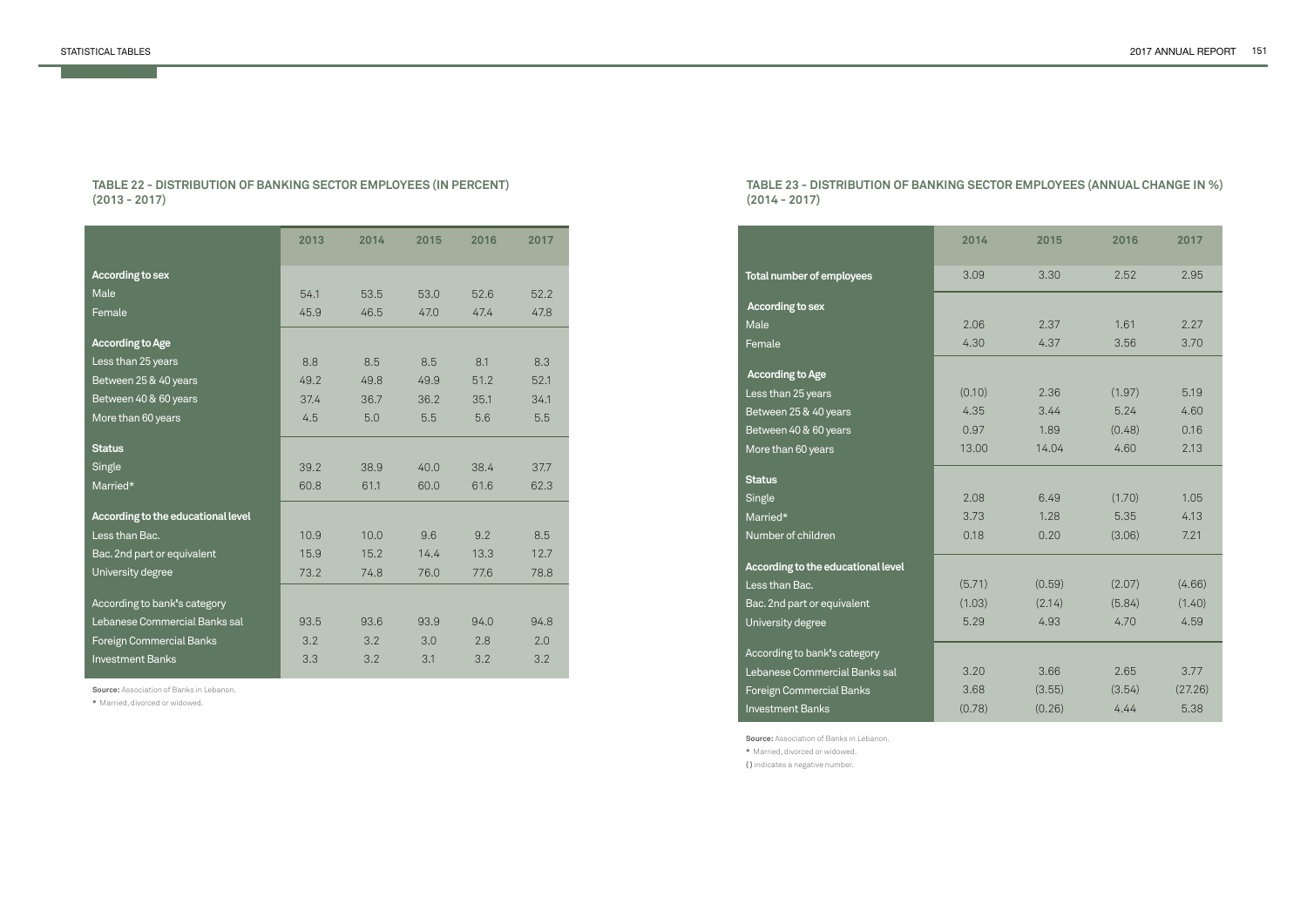# **TABLE 22 - DISTRIBUTION OF BANKING SECTOR EMPLOYEES (IN PERCENT) (2013 - 2017)**

**Source:** Association of Banks in Lebanon.

**\*** Married, divorced or widowed.

|                                    | 2013 | 2014 | 2015 | 2016 | 2017 |
|------------------------------------|------|------|------|------|------|
| <b>According to sex</b>            |      |      |      |      |      |
| Male                               | 54.1 | 53.5 | 53.0 | 52.6 | 52.2 |
| Female                             | 45.9 | 46.5 | 47.0 | 47.4 | 47.8 |
| <b>According to Age</b>            |      |      |      |      |      |
| Less than 25 years                 | 8.8  | 8.5  | 8.5  | 8.1  | 8.3  |
| Between 25 & 40 years              | 49.2 | 49.8 | 49.9 | 51.2 | 52.1 |
| Between 40 & 60 years              | 37.4 | 36.7 | 36.2 | 35.1 | 34.1 |
| More than 60 years                 | 4.5  | 5.0  | 5.5  | 5.6  | 5.5  |
| <b>Status</b>                      |      |      |      |      |      |
| Single                             | 39.2 | 38.9 | 40.0 | 38.4 | 37.7 |
| Married*                           | 60.8 | 61.1 | 60.0 | 61.6 | 62.3 |
| According to the educational level |      |      |      |      |      |
| Less than Bac.                     | 10.9 | 10.0 | 9.6  | 9.2  | 8.5  |
| Bac. 2nd part or equivalent        | 15.9 | 15.2 | 14.4 | 13.3 | 12.7 |
| University degree                  | 73.2 | 74.8 | 76.0 | 77.6 | 78.8 |
| According to bank's category       |      |      |      |      |      |
| Lebanese Commercial Banks sal      | 93.5 | 93.6 | 93.9 | 94.0 | 94.8 |
| Foreign Commercial Banks           | 3.2  | 3.2  | 3.0  | 2.8  | 2.0  |
| <b>Investment Banks</b>            | 3.3  | 3.2  | 3.1  | 3.2  | 3.2  |

### **TABLE 23 - DISTRIBUTION OF BANKING SECTOR EMPLOYEES (ANNUAL CHANGE IN %) (2014 - 2017)**

**Source:** Association of Banks in Lebanon. **\*** Married, divorced or widowed.

**( )** indicates a negative number.

|                                    | 2014   | 2015   | 2016   | 2017    |
|------------------------------------|--------|--------|--------|---------|
| Total number of employees          | 3.09   | 3.30   | 2.52   | 2.95    |
| According to sex                   |        |        |        |         |
| Male                               | 2.06   | 2.37   | 1.61   | 2.27    |
| Female                             | 4.30   | 4.37   | 3.56   | 3.70    |
| <b>According to Age</b>            |        |        |        |         |
| Less than 25 years                 | (0.10) | 2.36   | (1.97) | 5.19    |
| Between 25 & 40 years              | 4.35   | 3.44   | 5.24   | 4.60    |
| Between 40 & 60 years              | 0.97   | 1.89   | (0.48) | 0.16    |
| More than 60 years                 | 13.00  | 14.04  | 4.60   | 2.13    |
|                                    |        |        |        |         |
| <b>Status</b>                      |        |        |        |         |
| Single                             | 2.08   | 6.49   | (1.70) | 1.05    |
| Married*                           | 3.73   | 1.28   | 5.35   | 4.13    |
| Number of children                 | 0.18   | 0.20   | (3.06) | 7.21    |
| According to the educational level |        |        |        |         |
| Less than Bac.                     | (5.71) | (0.59) | (2.07) | (4.66)  |
| Bac. 2nd part or equivalent        | (1.03) | (2.14) | (5.84) | (1.40)  |
| University degree                  | 5.29   | 4.93   | 4.70   | 4.59    |
|                                    |        |        |        |         |
| According to bank's category       |        |        |        |         |
| Lebanese Commercial Banks sal      | 3.20   | 3.66   | 2.65   | 3.77    |
| Foreign Commercial Banks           | 3.68   | (3.55) | (3.54) | (27.26) |
| <b>Investment Banks</b>            | (0.78) | (0.26) | 4.44   | 5.38    |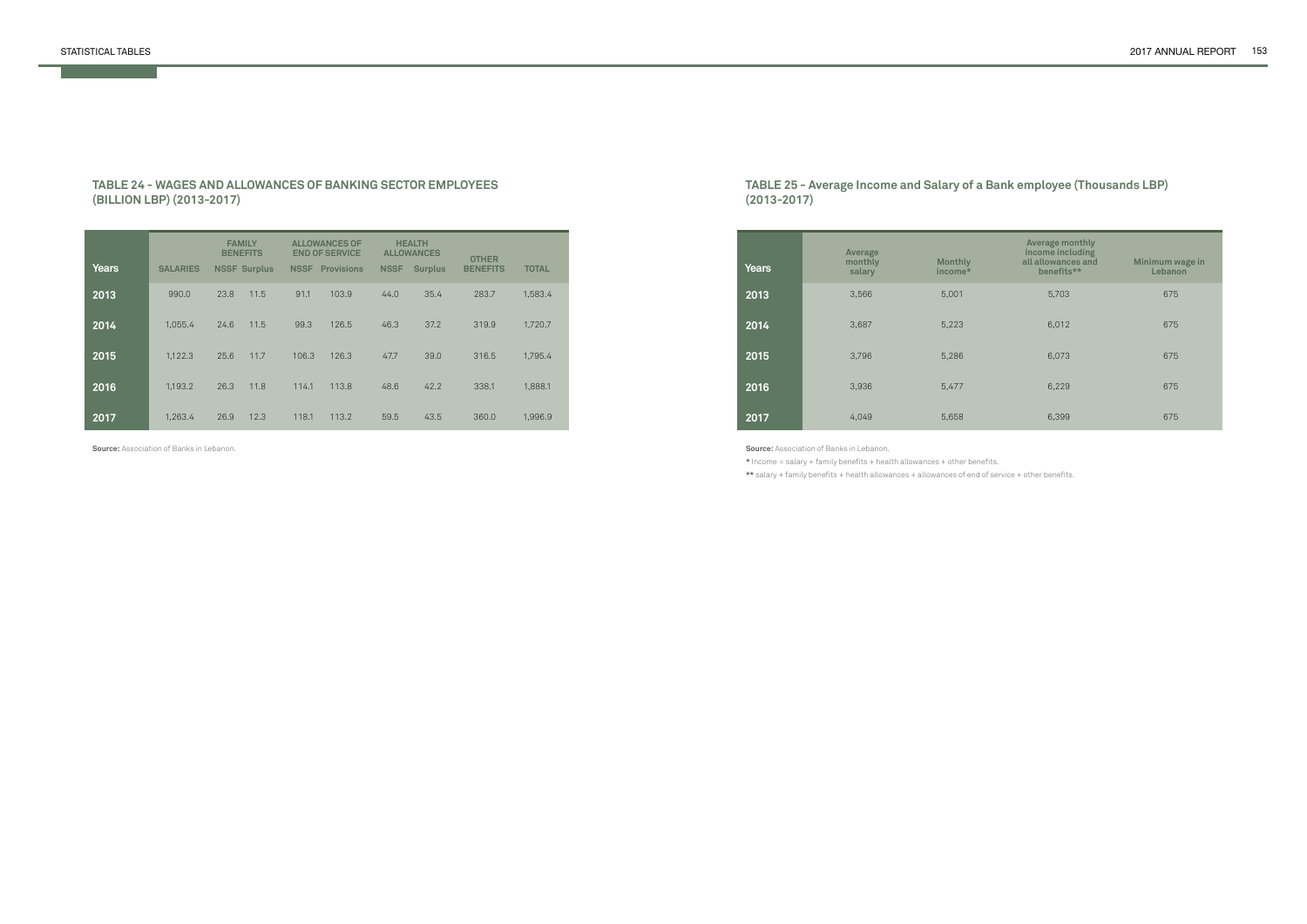#### **TABLE 24 - WAGES AND ALLOWANCES OF BANKING SECTOR EMPLOYEES (BILLION LBP) (2013-2017)**

| <b>Years</b> | <b>SALARIES</b> | <b>FAMILY</b><br><b>BENEFITS</b> | <b>NSSF Surplus</b> |       | <b>ALLOWANCES OF</b><br><b>END OF SERVICE</b><br><b>NSSF</b> Provisions | <b>NSSF</b> | <b>HEALTH</b><br><b>ALLOWANCES</b><br><b>Surplus</b> | <b>OTHER</b><br><b>BENEFITS</b> | <b>TOTAL</b> |
|--------------|-----------------|----------------------------------|---------------------|-------|-------------------------------------------------------------------------|-------------|------------------------------------------------------|---------------------------------|--------------|
| 2013         | 990.0           | 23.8                             | 11.5                | 91.1  | 103.9                                                                   | 44.0        | 35.4                                                 | 283.7                           | 1,583.4      |
| 2014         | 1,055.4         | 24.6                             | 11.5                | 99.3  | 126.5                                                                   | 46.3        | 37.2                                                 | 319.9                           | 1,720.7      |
| 2015         | 1,122.3         | 25.6                             | 11.7                | 106.3 | 126.3                                                                   | 47.7        | 39.0                                                 | 316.5                           | 1,795.4      |
| 2016         | 1,193.2         | 26.3                             | 11.8                | 114.1 | 113.8                                                                   | 48.6        | 42.2                                                 | 338.1                           | 1,888.1      |
| 2017         | 1,263.4         | 26.9                             | 12.3                | 118.1 | 113.2                                                                   | 59.5        | 43.5                                                 | 360.0                           | 1,996.9      |

**Source:** Association of Banks in Lebanon.

## **TABLE 25 - Average Income and Salary of a Bank employee (Thousands LBP) (2013-2017)**

| <b>Years</b> | Average<br>monthly<br>salary | <b>Monthly</b><br>income* | Average monthly<br>income including<br>all allowances and<br>benefits** | Minimum wage in<br>Lebanon |
|--------------|------------------------------|---------------------------|-------------------------------------------------------------------------|----------------------------|
| 2013         | 3,566                        | 5,001                     | 5,703                                                                   | 675                        |
| 2014         | 3,687                        | 5,223                     | 6,012                                                                   | 675                        |
| 2015         | 3,796                        | 5,286                     | 6,073                                                                   | 675                        |
| 2016         | 3,936                        | 5,477                     | 6,229                                                                   | 675                        |
| 2017         | 4,049                        | 5,658                     | 6,399                                                                   | 675                        |

**Source:** Association of Banks in Lebanon.

**\*** Income = salary + family benefits + health allowances + other benefits.

**\*\*** salary + family benefits + health allowances + allowances of end of service + other benefits.